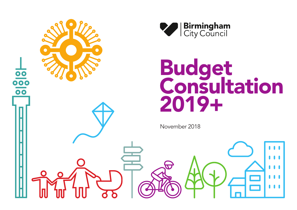



November 2018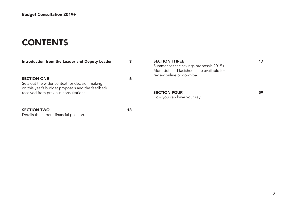# **CONTENTS**

| Introduction from the Leader and Deputy Leader                                                                           | З  | <b>SECTION THREE</b><br>Summarises the savings proposals 2019+.<br>More detailed factsheets are available for<br>review online or download. | 17 |
|--------------------------------------------------------------------------------------------------------------------------|----|---------------------------------------------------------------------------------------------------------------------------------------------|----|
| <b>SECTION ONE</b><br>Sets out the wider context for decision making<br>on this year's budget proposals and the feedback | 6  |                                                                                                                                             |    |
| received from previous consultations.                                                                                    |    | <b>SECTION FOUR</b><br>How you can have your say                                                                                            | 59 |
| <b>SECTION TWO</b><br>Details the current financial position.                                                            | 13 |                                                                                                                                             |    |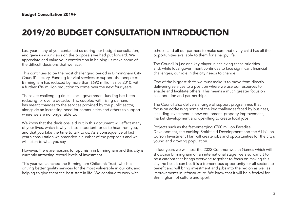# 2019/20 BUDGET CONSULTATION INTRODUCTION

Last year many of you contacted us during our budget consultation, and gave us your views on the proposals we had put forward. We appreciate and value your contribution in helping us make some of the difficult decisions that we face.

This continues to be the most challenging period in Birmingham City Council's history. Funding for vital services to support the people of Birmingham has reduced by more than £690 million since 2010, with a further £86 million reduction to come over the next four years.

These are challenging times. Local government funding has been reducing for over a decade. This, coupled with rising demand, has meant changes to the services provided by the public sector, alongside an increasing need for communities and others to support where we are no longer able to.

We know that the decisions laid out in this document will affect many of your lives, which is why it is so important for us to hear from you, and that you take the time to talk to us. As a consequence of last year's consultation we amended a number of the proposals and we will listen to what you say.

However, there are reasons for optimism in Birmingham and this city is currently attracting record levels of investment.

This year we launched the Birmingham Children's Trust, which is driving better quality services for the most vulnerable in our city, and helping to give them the best start in life. We continue to work with

schools and all our partners to make sure that every child has all the opportunities available to them for a happy life.

The Council is just one key player in achieving these priorities and, while local government continues to face significant financial challenges, our role in the city needs to change.

One of the biggest shifts we must make is to move from directly delivering services to a position where we use our resources to enable and facilitate others. This means a much greater focus on collaboration and partnerships.

The Council also delivers a range of support programmes that focus on addressing some of the key challenges faced by business, including investment in new equipment, property improvement, market development and upskilling to create local jobs.

Projects such as the fast-emerging £700 million Paradise Development, the exciting Smithfield Development and the £1 billion Curzon Investment Plan will create jobs and opportunities for the city's young and growing population.

In four years we will host the 2022 Commonwealth Games which will showcase Birmingham on an international stage; we also want it to be a catalyst that brings everyone together to focus on making this city the best it can be. It is a tremendous opportunity for all sectors to benefit and will bring investment and jobs into the region as well as improvements in infrastructure. We know that it will be a festival for Birmingham of culture and sport.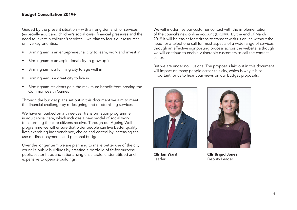Guided by the present situation – with a rising demand for services (especially adult and children's social care), financial pressures and the need to invest in children's services – we plan to focus our resources on five key priorities:

- Birmingham is an entrepreneurial city to learn, work and invest in
- Birmingham is an aspirational city to grow up in
- Birmingham is a fulfilling city to age well in
- Birmingham is a great city to live in
- Birmingham residents gain the maximum benefit from hosting the Commonwealth Games

Through the budget plans set out in this document we aim to meet the financial challenge by redesigning and modernising services.

We have embarked on a three-year transformation programme in adult social care, which includes a new model of social work transforming the care citizens receive. Through our Ageing Well programme we will ensure that older people can live better quality lives exercising independence, choice and control by increasing the use of direct payments and personal budgets.

Over the longer term we are planning to make better use of the city council's public buildings by creating a portfolio of fit-for-purpose public sector hubs and rationalising unsuitable, under-utilised and expensive to operate buildings.

We will modernise our customer contact with the implementation of the council's new online account (BRUM). By the end of March 2019 it will be easier for citizens to transact with us online without the need for a telephone call for most aspects of a wide range of services through an effective signposting process across the website, although we will continue to enable vulnerable customers to call the contact centre.

But we are under no illusions. The proposals laid out in this document will impact on many people across this city, which is why it is so important for us to hear your views on our budget proposals.



Cllr Ian Ward Leader



Cllr Brigid Jones Deputy Leader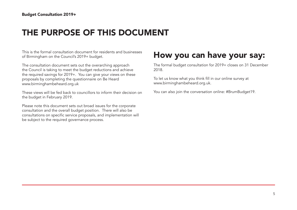# THE PURPOSE OF THIS DOCUMENT

This is the formal consultation document for residents and businesses of Birmingham on the Council's 2019+ budget.

The consultation document sets out the overarching approach the Council is taking to meet the budget reductions and achieve the required savings for 2019+. You can give your views on these proposals by completing the questionnaire on Be Heard www.birminghambeheard.org.uk

These views will be fed back to councillors to inform their decision on the budget in February 2019.

Please note this document sets out broad issues for the corporate consultation and the overall budget position. There will also be consultations on specific service proposals, and implementation will be subject to the required governance process.

### How you can have your say:

The formal budget consultation for 2019+ closes on 31 December 2018.

To let us know what you think fill in our online survey at www.birminghambeheard.org.uk.

You can also join the conversation online: #BrumBudget19.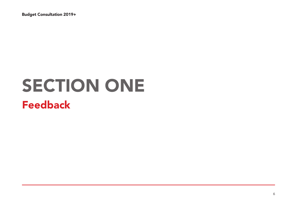# SECTION ONE Feedback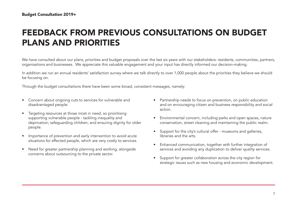# FEEDBACK FROM PREVIOUS CONSULTATIONS ON BUDGET PLANS AND PRIORITIES

We have consulted about our plans, priorities and budget proposals over the last six years with our stakeholders: residents, communities, partners, organisations and businesses. We appreciate this valuable engagement and your input has directly informed our decision-making.

In addition we run an annual residents' satisfaction survey where we talk directly to over 1,000 people about the priorities they believe we should be focusing on.

Through the budget consultations there have been some broad, consistent messages, namely:

- Concern about ongoing cuts to services for vulnerable and disadvantaged people.
- Targeting resources at those most in need, so prioritising supporting vulnerable people - tackling inequality and deprivation; safeguarding children; and ensuring dignity for older people.
- Importance of prevention and early intervention to avoid acute situations for affected people, which are very costly to services.
- Need for greater partnership planning and working, alongside concerns about outsourcing to the private sector.
- Partnership needs to focus on prevention, on public education and on encouraging citizen and business responsibility and social action.
- Environmental concern, including parks and open spaces, nature conservation, street cleaning and maintaining the public realm.
- Support for the city's cultural offer museums and galleries, libraries and the arts.
- Enhanced communication, together with further integration of services and avoiding any duplication to deliver quality services.
- Support for greater collaboration across the city region for strategic issues such as new housing and economic development.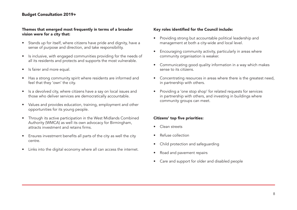#### Themes that emerged most frequently in terms of a broader vision were for a city that:

- Stands up for itself, where citizens have pride and dignity, have a sense of purpose and direction, and take responsibility.
- Is inclusive, with engaged communities providing for the needs of all its residents and protects and supports the most vulnerable.
- Is fairer and more equal.
- Has a strong community spirit where residents are informed and feel that they 'own' the city.
- Is a devolved city, where citizens have a say on local issues and those who deliver services are democratically accountable.
- Values and provides education, training, employment and other opportunities for its young people.
- Through its active participation in the West Midlands Combined Authority (WMCA) as well its own advocacy for Birmingham, attracts investment and retains firms.
- Ensures investment benefits all parts of the city as well the city centre.
- Links into the digital economy where all can access the internet.

#### Key roles identified for the Council include:

- Providing strong but accountable political leadership and management at both a city-wide and local level.
- Encouraging community activity, particularly in areas where community organisation is weaker.
- Communicating good quality information in a way which makes sense to its citizens.
- Concentrating resources in areas where there is the greatest need, in partnership with others.
- Providing a 'one stop shop' for related requests for services in partnership with others, and investing in buildings where community groups can meet.

#### Citizens' top five priorities:

- Clean streets
- Refuse collection
- Child protection and safeguarding
- Road and pavement repairs
- Care and support for older and disabled people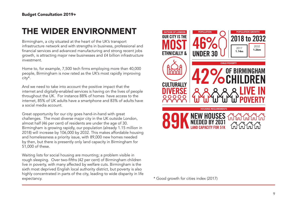# THE WIDER ENVIRONMENT

Birmingham, a city situated at the heart of the UK's transport infrastructure network and with strengths in business, professional and financial services and advanced manufacturing and strong recent jobs growth, is attracting major new businesses and £4 billion infrastructure investment.

Home to, for example, 7,500 tech firms employing more than 40,000 people, Birmingham is now rated as the UK's most rapidly improving city\*.

And we need to take into account the positive impact that the internet and digitally-enabled services is having on the lives of people throughout the UK. For instance 88% of homes have access to the internet, 85% of UK adults have a smartphone and 83% of adults have a social media account.

Great opportunity for our city goes hand-in-hand with great challenges. The most diverse major city in the UK outside London, almost half (46 per cent) of residents are under the age of 30. Birmingham is growing rapidly, our population (already 1.15 million in 2018) will increase by 106,000 by 2032. This makes affordable housing and homelessness a priority issue, with 89,000 new homes needed by then, but there is presently only land capacity in Birmingham for 51,000 of these.

Waiting lists for social housing are mounting; a problem visible in rough sleeping. Over two-fifths (42 per cent) of Birmingham children live in poverty, with many affected by welfare cuts. Birmingham is the sixth most deprived English local authority district, but poverty is also highly concentrated in parts of the city, leading to wide disparity in life expectancy. \* Good growth for cities index (2017)

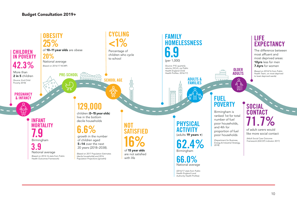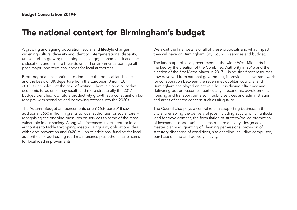### The national context for Birmingham's budget

A growing and ageing population; social and lifestyle changes; widening cultural diversity and identity; intergenerational disparity; uneven urban growth; technological change; economic risk and social dislocation; and climate breakdown and environmental damage all pose major long-term challenges for local authorities.

Brexit negotiations continue to dominate the political landscape, and the basis of UK departure from the European Union (EU) in 2019 is unresolved at the time of writing. There is a possibility that economic turbulence may result, and more structurally the 2017 Budget identified low future productivity growth as a constraint on tax receipts, with spending and borrowing stresses into the 2020s.

The Autumn Budget announcements on 29 October 2018 saw additional £650 million in grants to local authorities for social care – recognising the ongoing pressures on services to some of the most vulnerable in our society. Along with increased investment for local authorities to tackle fly-tipping; meeting air quality obligations; deal with flood prevention and £420 million of additional funding for local authorities for addressing road maintenance plus other smaller sums for local road improvements.

We await the finer details of all of these proposals and what impact they will have on Birmingham City Council's services and budget.

The landscape of local government in the wider West Midlands is marked by the creation of the Combined Authority in 2016 and the election of the first Metro Mayor in 2017. Using significant resources now devolved from national government, it provides a new framework for collaboration between the seven metropolitan councils, and Birmingham has played an active role. It is driving efficiency and delivering better outcomes, particularly in economic development, housing and transport but also in public services and administration and areas of shared concern such as air quality.

The Council also plays a central role in supporting business in the city and enabling the delivery of jobs including activity which unlocks land for development, the formulation of strategy/policy, promotion of investment opportunities, infrastructure delivery, design advice, master planning, granting of planning permissions, provision of statutory discharge of conditions, site enabling including compulsory purchase of land and delivery activity.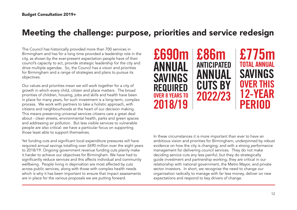## Meeting the challenge: purpose, priorities and service redesign

The Council has historically provided more than 700 services in Birmingham and has for a long time provided a leadership role in the city, as shown by the ever-present expectation people have of their council's capacity to act, provide strategic leadership for the city and drive multiple agendas. So, the Council has a vision and priorities for Birmingham and a range of strategies and plans to pursue its objectives.

Our values and priorities mean we will work together for a city of growth in which every child, citizen and place matters. The broad priorities of children, housing, jobs and skills and health have been in place for many years, for such investment is a long-term, complex process. We work with partners to take a holistic approach, with citizens and neighbourhoods at the heart of our decision making. This means preserving universal services citizens care a great deal about - clean streets, environmental health, parks and green spaces and addressing air pollution. But less visible services to vulnerable people are also critical: we have a particular focus on supporting those least able to support themselves.

Yet funding cuts and significant local expenditure pressures will have required annual savings totalling over £690 million over the eight years to 2018/19. Ongoing government revenue funding cuts plainly make it harder to achieve our objectives for Birmingham. We have had to significantly reduce services and this affects individual and community wellbeing. People living in deprivation are most affected by cuts across public services, along with those with complex health needs which is why it has been important to ensure that impact assessments are in place for the various proposals we are putting forward.



# £775m TOTAL ANNUAL SAVINGS OVER THIS 12-YEAR PERIOD

In these circumstances it is more important than ever to have an ambitious vision and priorities for Birmingham; underpinned by robust evidence on how the city is changing; and with a strong performance management for delivering council services. They do not make deciding service cuts any less painful, but they do strategically guide investment and partnership working; they are critical in our relationship with national government, the Metro Mayor, and private sector investors. In short, we recognise the need to change our organisation radically to manage with far less money, deliver on new expectations and respond to key drivers of change.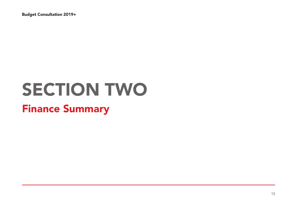# SECTION TWO Finance Summary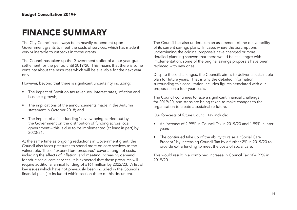### FINANCE SUMMARY

The City Council has always been heavily dependent upon Government grants to meet the costs of services, which has made it very vulnerable to cutbacks in those grants.

The Council has taken up the Government's offer of a four-year grant settlement for the period until 2019/20. This means that there is some certainty about the resources which will be available for the next year only.

However, beyond that there is significant uncertainty including:

- The impact of Brexit on tax revenues, interest rates, inflation and business growth;
- The implications of the announcements made in the Autumn statement in October 2018; and
- The impact of a "fair funding" review being carried out by the Government on the distribution of funding across local government – this is due to be implemented (at least in part) by 2020/21.

At the same time as ongoing reductions in Government grant, the Council also faces pressures to spend more on core services to the vulnerable. These "expenditure pressures" cover a range of costs, including the effects of inflation, and meeting increasing demand for adult social care services. It is expected that these pressures will require additional annual funding of £161 million by 2022/23. A list of key issues (which have not previously been included in the Council's financial plans) is included within section three of this document.

The Council has also undertaken an assessment of the deliverability of its current savings plans. In cases where the assumptions underpinning the original proposals have changed or more detailed planning showed that there would be challenges with implementation, some of the original savings proposals have been replaced with new ones.

Despite these challenges, the Council's aim is to deliver a sustainable plan for future years. That is why the detailed information surrounding this consultation includes figures associated with our proposals on a four year basis.

The Council continues to face a significant financial challenge for 2019/20, and steps are being taken to make changes to the organisation to create a sustainable future.

Our forecasts of future Council Tax include:

- An increase of 2.99% in Council Tax in 2019/20 and 1.99% in later years
- The continued take up of the ability to raise a "Social Care Precept" by increasing Council Tax by a further 2% in 2019/20 to provide extra funding to meet the costs of social care.

This would result in a combined increase in Council Tax of 4.99% in 2019/20.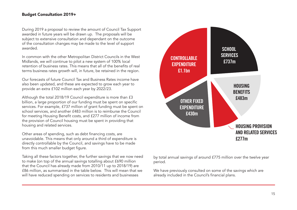During 2019 a proposal to review the amount of Council Tax Support awarded in future years will be drawn up. The proposals will be subject to extensive consultation and dependant on the outcome of the consultation changes may be made to the level of support awarded.

In common with the other Metropolitan District Councils in the West Midlands, we will continue to pilot a new system of 100% local retention of business rates. This means that all of the benefits of real terms business rates growth will, in future, be retained in the region.

Our forecasts of future Council Tax and Business Rates income have also been updated, and these are expected to grow each year to provide an extra £102 million each year by 2022/23.

Although the total 2018/19 Council expenditure is more than £3 billion, a large proportion of our funding must be spent on specific services. For example, £737 million of grant funding must be spent on school services, and another £483 million is to reimburse the Council for meeting Housing Benefit costs, and £277 million of income from the provision of Council housing must be spent in providing that housing and related services.

Other areas of spending, such as debt financing costs, are unavoidable. This means that only around a third of expenditure is directly controllable by the Council, and savings have to be made from this much smaller budget figure.

Taking all these factors together, the further savings that we now need to make (on top of the annual savings totalling about £690 million that the Council has already made from 2010/11 up to 2018/19) are £86 million, as summarised in the table below. This will mean that we will have reduced spending on services to residents and businesses



by total annual savings of around £775 million over the twelve year period.

We have previously consulted on some of the savings which are already included in the Council's financial plans.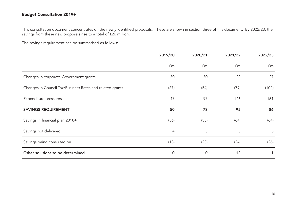This consultation document concentrates on the newly identified proposals. These are shown in section three of this document. By 2022/23, the savings from these new proposals rise to a total of £26 million.

The savings requirement can be summarised as follows:

|                                                          | 2019/20        | 2020/21        | 2021/22        | 2022/23 |
|----------------------------------------------------------|----------------|----------------|----------------|---------|
|                                                          | $\mathbf{f}$ m | $\mathbf{f}$ m | $\mathbf{f}$ m | £m      |
| Changes in corporate Government grants                   | 30             | 30             | 28             | 27      |
| Changes in Council Tax/Business Rates and related grants | (27)           | (54)           | (79)           | (102)   |
| Expenditure pressures                                    | 47             | 97             | 146            | 161     |
| <b>SAVINGS REQUIREMENT</b>                               | 50             | 73             | 95             | 86      |
| Savings in financial plan 2018+                          | (36)           | (55)           | (64)           | (64)    |
| Savings not delivered                                    | 4              | 5              | 5              | 5       |
| Savings being consulted on                               | (18)           | (23)           | (24)           | (26)    |
| Other solutions to be determined                         | $\mathbf 0$    | $\mathbf 0$    | 12             |         |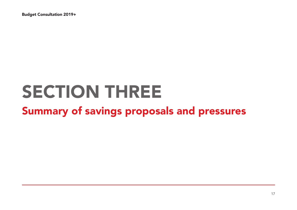# SECTION THREE

# Summary of savings proposals and pressures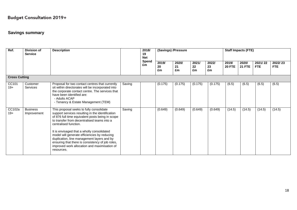#### **Savings summary**

| Ref.                 | <b>Division of</b><br><b>Service</b> | <b>Description</b>                                                                                                                                                                                                                                                                                                                                                                                                                                                                     |        | 2018/<br>19<br><b>Net</b> |                   | (Savings) /Pressure |                   |                   | <b>Staff Impacts (FTE)</b> |                        |                       |                       |  |
|----------------------|--------------------------------------|----------------------------------------------------------------------------------------------------------------------------------------------------------------------------------------------------------------------------------------------------------------------------------------------------------------------------------------------------------------------------------------------------------------------------------------------------------------------------------------|--------|---------------------------|-------------------|---------------------|-------------------|-------------------|----------------------------|------------------------|-----------------------|-----------------------|--|
|                      |                                      |                                                                                                                                                                                                                                                                                                                                                                                                                                                                                        |        | Spend<br>£m               | 2019/<br>20<br>£m | 2020/<br>21<br>£m   | 2021/<br>22<br>£m | 2022/<br>23<br>£m | 2019/<br><b>20 FTE</b>     | 2020/<br><b>21 FTE</b> | 2021/22<br><b>FTE</b> | 2022/23<br><b>FTE</b> |  |
| <b>Cross Cutting</b> |                                      |                                                                                                                                                                                                                                                                                                                                                                                                                                                                                        |        |                           |                   |                     |                   |                   |                            |                        |                       |                       |  |
| CC101<br>$19+$       | Customer<br><b>Services</b>          | Proposal for two contact centres that currently<br>sit within directorates will be incorporated into<br>the corporate contact centre. The services that<br>have been identified are:<br>- Adults ACAP<br>- Tenancy & Estate Management (TEM)                                                                                                                                                                                                                                           | Saving |                           | (0.175)           | (0.175)             | (0.175)           | (0.175)           | (6.5)                      | (6.5)                  | (6.5)                 | (6.5)                 |  |
| CC102a<br>$19+$      | <b>Business</b><br>Improvement       | This proposal seeks to fully consolidate<br>support services resulting in the identification<br>of 876 full time equivalent posts being in scope<br>to transfer from decentralised teams into a<br>centralised function.<br>It is envisaged that a wholly consolidated<br>model will generate efficiencies by reducing<br>duplication, line management layers and by<br>ensuring that there is consistency of job roles,<br>improved work allocation and maximisation of<br>resources. | Saving |                           | (0.649)           | (0.649)             | (0.649)           | (0.649)           | (14.5)                     | (14.5)                 | (14.5)                | (14.5)                |  |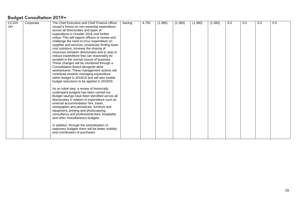| CC103 | Corporate | The Chief Executive and Chief Finance officer      | Saving | 4.750 | (1.380) | (1.380) | (1.380) | (1.380) | 0.0 | 0.0 | 0.0 | 0.0 |
|-------|-----------|----------------------------------------------------|--------|-------|---------|---------|---------|---------|-----|-----|-----|-----|
| $19+$ |           | issued a freeze on non-essential expenditure       |        |       |         |         |         |         |     |     |     |     |
|       |           | across all directorates and types of               |        |       |         |         |         |         |     |     |     |     |
|       |           | expenditure in October 2018 until further          |        |       |         |         |         |         |     |     |     |     |
|       |           | notice. This will require officers to review and   |        |       |         |         |         |         |     |     |     |     |
|       |           | challenge the need to incur expenditure on         |        |       |         |         |         |         |     |     |     |     |
|       |           | supplies and services, proactively finding lower   |        |       |         |         |         |         |     |     |     |     |
|       |           | cost solutions, increase the sharing of            |        |       |         |         |         |         |     |     |     |     |
|       |           | resources between directorates and to stop or      |        |       |         |         |         |         |     |     |     |     |
|       |           | reduce expenditure that can reasonably be          |        |       |         |         |         |         |     |     |     |     |
|       |           | avoided in the normal course of business.          |        |       |         |         |         |         |     |     |     |     |
|       |           | These changes will be monitored through a          |        |       |         |         |         |         |     |     |     |     |
|       |           | Consolidation Board alongside other                |        |       |         |         |         |         |     |     |     |     |
|       |           | workstreams. These management actions will         |        |       |         |         |         |         |     |     |     |     |
|       |           | contribute towards managing expenditure            |        |       |         |         |         |         |     |     |     |     |
|       |           | within budget in 2018/19 and will also enable      |        |       |         |         |         |         |     |     |     |     |
|       |           | budget reductions to be applied in 2019/20.        |        |       |         |         |         |         |     |     |     |     |
|       |           |                                                    |        |       |         |         |         |         |     |     |     |     |
|       |           | As an initial step, a review of historically       |        |       |         |         |         |         |     |     |     |     |
|       |           | underspent budgets has been carried out.           |        |       |         |         |         |         |     |     |     |     |
|       |           | Budget savings have been identified across all     |        |       |         |         |         |         |     |     |     |     |
|       |           | directorates in relation to expenditure such as    |        |       |         |         |         |         |     |     |     |     |
|       |           | external accommodation hire, travel,               |        |       |         |         |         |         |     |     |     |     |
|       |           | newspapers and periodicals, furniture and          |        |       |         |         |         |         |     |     |     |     |
|       |           | equipment, printing and photocopying,              |        |       |         |         |         |         |     |     |     |     |
|       |           | consultancy and professional fees, hospitality     |        |       |         |         |         |         |     |     |     |     |
|       |           | and other miscellaneous budgets.                   |        |       |         |         |         |         |     |     |     |     |
|       |           |                                                    |        |       |         |         |         |         |     |     |     |     |
|       |           | In addition, through the centralisation of         |        |       |         |         |         |         |     |     |     |     |
|       |           | stationery budgets there will be better visibility |        |       |         |         |         |         |     |     |     |     |
|       |           | and coordination of purchases.                     |        |       |         |         |         |         |     |     |     |     |
|       |           |                                                    |        |       |         |         |         |         |     |     |     |     |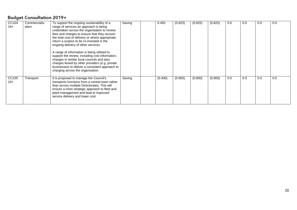| CC104 | Commercialis- | To support the ongoing sustainability of a      | Saving | 0.450   | (0.825) | (0.825) | (0.825) | 0.0 | 0.0 | 0.0 | 0.0 |
|-------|---------------|-------------------------------------------------|--------|---------|---------|---------|---------|-----|-----|-----|-----|
| $19+$ | ation         | range of services an approach is being          |        |         |         |         |         |     |     |     |     |
|       |               | undertaken across the organisation to review    |        |         |         |         |         |     |     |     |     |
|       |               | fees and charges to ensure that they recover    |        |         |         |         |         |     |     |     |     |
|       |               | the total cost of delivery or where appropriate |        |         |         |         |         |     |     |     |     |
|       |               | return a surplus to be re-invested in the       |        |         |         |         |         |     |     |     |     |
|       |               | ongoing delivery of other services.             |        |         |         |         |         |     |     |     |     |
|       |               |                                                 |        |         |         |         |         |     |     |     |     |
|       |               | A range of information is being utilised to     |        |         |         |         |         |     |     |     |     |
|       |               | support the review, including cost information, |        |         |         |         |         |     |     |     |     |
|       |               | charges in similar local councils and also      |        |         |         |         |         |     |     |     |     |
|       |               | charges levied by other providers (e.g. private |        |         |         |         |         |     |     |     |     |
|       |               | businesses) to deliver a consistent approach to |        |         |         |         |         |     |     |     |     |
|       |               | charging across the organisation.               |        |         |         |         |         |     |     |     |     |
|       |               |                                                 |        |         |         |         |         |     |     |     |     |
| CC105 | Transport     | It is proposed to manage the Council's          | Saving | (0.400) | (0.800) | (0.800) | (0.800) | 0.0 | 0.0 | 0.0 | 0.0 |
| $19+$ |               | transports functions from a central team rather |        |         |         |         |         |     |     |     |     |
|       |               | than across multiple Directorates. This will    |        |         |         |         |         |     |     |     |     |
|       |               | ensure a more strategic approach to fleet and   |        |         |         |         |         |     |     |     |     |
|       |               | plant management and lead to improved           |        |         |         |         |         |     |     |     |     |
|       |               | service delivery and lower cost                 |        |         |         |         |         |     |     |     |     |
|       |               |                                                 |        |         |         |         |         |     |     |     |     |
|       |               |                                                 |        |         |         |         |         |     |     |     |     |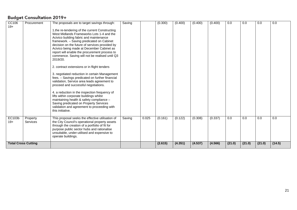| CC106                      | Procurement     | The proposals are to target savings through:                                                    | Saving |       | (0.300) | (0.400) | (0.400) | (0.400) | 0.0    | 0.0    | 0.0    | 0.0    |
|----------------------------|-----------------|-------------------------------------------------------------------------------------------------|--------|-------|---------|---------|---------|---------|--------|--------|--------|--------|
| $19+$                      |                 | 1.the re-tendering of the current Constructing                                                  |        |       |         |         |         |         |        |        |        |        |
|                            |                 | West Midlands Frameworks Lots 1-4 and the                                                       |        |       |         |         |         |         |        |        |        |        |
|                            |                 | Acivico building fabric and maintenance                                                         |        |       |         |         |         |         |        |        |        |        |
|                            |                 | framework. - Saving predicated on Cabinet                                                       |        |       |         |         |         |         |        |        |        |        |
|                            |                 | decision on the future of services provided by                                                  |        |       |         |         |         |         |        |        |        |        |
|                            |                 | Acivico being made at December Cabinet as                                                       |        |       |         |         |         |         |        |        |        |        |
|                            |                 | report will enable the procurement process to<br>commence. Saving will not be realised until Q3 |        |       |         |         |         |         |        |        |        |        |
|                            |                 | 2019/20.                                                                                        |        |       |         |         |         |         |        |        |        |        |
|                            |                 |                                                                                                 |        |       |         |         |         |         |        |        |        |        |
|                            |                 | 2. contract extensions or in flight tenders                                                     |        |       |         |         |         |         |        |        |        |        |
|                            |                 | 3. negotiated reduction in certain Management                                                   |        |       |         |         |         |         |        |        |        |        |
|                            |                 | fees. - Savings predicated on further financial                                                 |        |       |         |         |         |         |        |        |        |        |
|                            |                 | validation, Service area leads agreement to                                                     |        |       |         |         |         |         |        |        |        |        |
|                            |                 | proceed and successful negotiations.                                                            |        |       |         |         |         |         |        |        |        |        |
|                            |                 | 4. a reduction in the inspection frequency of                                                   |        |       |         |         |         |         |        |        |        |        |
|                            |                 | lifts within corporate buildings whilst                                                         |        |       |         |         |         |         |        |        |        |        |
|                            |                 | maintaining health & safety compliance -                                                        |        |       |         |         |         |         |        |        |        |        |
|                            |                 | Saving predicated on Property Services                                                          |        |       |         |         |         |         |        |        |        |        |
|                            |                 | validation and agreement to proceeding with                                                     |        |       |         |         |         |         |        |        |        |        |
|                            |                 | this initiative.                                                                                |        |       |         |         |         |         |        |        |        |        |
| EC103b                     | Property        | This proposal seeks the effective utilisation of                                                | Saving | 0.025 | (0.161) | (0.122) | (0.308) | (0.337) | 0.0    | 0.0    | 0.0    | 0.0    |
| $19+$                      | <b>Services</b> | the City Council's operational property assets                                                  |        |       |         |         |         |         |        |        |        |        |
|                            |                 | through the creation of a portfolio of fit for                                                  |        |       |         |         |         |         |        |        |        |        |
|                            |                 | purpose public sector hubs and rationalise<br>unsuitable, under-utilised and expensive to       |        |       |         |         |         |         |        |        |        |        |
|                            |                 | operate buildings.                                                                              |        |       |         |         |         |         |        |        |        |        |
|                            |                 |                                                                                                 |        |       |         |         |         |         |        |        |        |        |
| <b>Total Cross Cutting</b> |                 |                                                                                                 |        |       | (2.615) | (4.351) | (4.537) | (4.566) | (21.0) | (21.0) | (21.0) | (14.5) |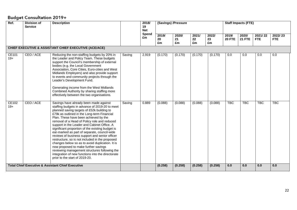| Ref.           | <b>Division of</b><br><b>Service</b> | <b>Description</b>                                                                                                                                                                                                                                                                                                                                                                                                                                                                                                                                                                                                                                                                                                                                                        |        | 2018/<br>19<br><b>Net</b><br>Spend | (Savings) /Pressure |          | 2020/<br>2021/<br>2022/ |          | <b>Staff Impacts (FTE)</b><br>2019/<br>2020/ |               |                       |                       |
|----------------|--------------------------------------|---------------------------------------------------------------------------------------------------------------------------------------------------------------------------------------------------------------------------------------------------------------------------------------------------------------------------------------------------------------------------------------------------------------------------------------------------------------------------------------------------------------------------------------------------------------------------------------------------------------------------------------------------------------------------------------------------------------------------------------------------------------------------|--------|------------------------------------|---------------------|----------|-------------------------|----------|----------------------------------------------|---------------|-----------------------|-----------------------|
|                |                                      |                                                                                                                                                                                                                                                                                                                                                                                                                                                                                                                                                                                                                                                                                                                                                                           |        | £m                                 | 2019/<br>20<br>£m   | 21<br>£m | 22<br>£m                | 23<br>£m | <b>20 FTE</b>                                | <b>21 FTE</b> | 2021/22<br><b>FTE</b> | 2022/23<br><b>FTE</b> |
|                |                                      | CHIEF EXECUTIVE & ASSISTANT CHIEF EXECUTIVE (ACE/ACE)                                                                                                                                                                                                                                                                                                                                                                                                                                                                                                                                                                                                                                                                                                                     |        |                                    |                     |          |                         |          |                                              |               |                       |                       |
| CE101<br>$19+$ | CEO / ACE                            | Reducing the non-staffing budgets by 20% in<br>the Leader and Policy Team. These budgets<br>support the Council's membership of external<br>bodies (e.g. the Local Government<br>Association, Core Cities, Euro-cities and West<br>Midlands Employers) and also provide support<br>to events and community projects through the<br>Leader's Development Fund.<br>Generating income from the West Midlands<br>Combined Authority by sharing staffing more<br>effectively between the two organisations.                                                                                                                                                                                                                                                                    | Saving | 2.919                              | (0.170)             | (0.170)  | (0.170)                 | (0.170)  | 0.0                                          | 0.0           | 0.0                   | $\overline{0.0}$      |
| CE102<br>$19+$ | CEO / ACE                            | Savings have already been made against<br>staffing budgets in advance of 2019-20 to meet<br>planned saving targets of £52k building to<br>£79k as outlined in the Long-term Financial<br>Plan. These have been achieved by the<br>removal of a Head of Policy role and reduced<br>support in the Leader and Cabinet Office. A<br>significant proportion of the existing budget is<br>ear-marked as part of separate, council-wide<br>reviews of business support and senior officer<br>restructure, so is not included in the proposed<br>changes below so as to avoid duplication. It is<br>now proposed to make further savings<br>reviewing management structures following the<br>integration of new functions into the directorate<br>prior to the start of 2019-20. | Saving | 0.889                              | (0.088)             | (0.088)  | (0.088)                 | (0.088)  | <b>TBC</b>                                   | <b>TBC</b>    | <b>TBC</b>            | <b>TBC</b>            |
|                |                                      | <b>Total Chief Executive &amp; Assistant Chief Executive</b>                                                                                                                                                                                                                                                                                                                                                                                                                                                                                                                                                                                                                                                                                                              |        |                                    | (0.258)             | (0.258)  | (0.258)                 | (0.258)  | 0.0                                          | 0.0           | 0.0                   | 0.0                   |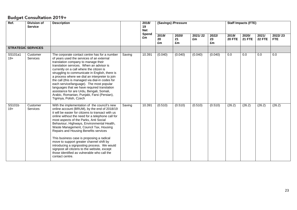| Ref.             | <b>Division of</b><br><b>Service</b> | <b>Description</b>                                                                                                                                                                                                                                                                                                                                                                                                                                                                                                                                                                                                                          |        | 2018/<br>19<br><b>Net</b><br>Spend |                   | (Savings) /Pressure |               |                   | <b>Staff Impacts (FTE)</b> |                        |                        |                       |
|------------------|--------------------------------------|---------------------------------------------------------------------------------------------------------------------------------------------------------------------------------------------------------------------------------------------------------------------------------------------------------------------------------------------------------------------------------------------------------------------------------------------------------------------------------------------------------------------------------------------------------------------------------------------------------------------------------------------|--------|------------------------------------|-------------------|---------------------|---------------|-------------------|----------------------------|------------------------|------------------------|-----------------------|
|                  |                                      |                                                                                                                                                                                                                                                                                                                                                                                                                                                                                                                                                                                                                                             |        | £m                                 | 2019/<br>20<br>£m | 2020/<br>21<br>£m   | 2021/22<br>£m | 2022/<br>23<br>£m | 2019/<br><b>20 FTE</b>     | 2020/<br><b>21 FTE</b> | 2021/<br><b>22 FTE</b> | 2022/23<br><b>FTE</b> |
|                  | <b>STRATEGIC SERVICES</b>            |                                                                                                                                                                                                                                                                                                                                                                                                                                                                                                                                                                                                                                             |        |                                    |                   |                     |               |                   |                            |                        |                        |                       |
| SS101a1<br>$19+$ | Customer<br><b>Services</b>          | The corporate contact centre has for a number<br>of years used the services of an external<br>translation company to manage their<br>translation services. When an advisor is<br>currently on a call where the citizen is<br>struggling to communicate in English, there is<br>a process where we dial an interpreter to join<br>the call (this is managed via dial-in codes for<br>each service/language). The most popular<br>languages that we have required translation<br>assistance for are Urdu, Bengali, Somali,<br>Arabic, Romanian, Punjabi, Farsi (Persian),<br>Tigrinya, Polish, Czech                                          | Saving | 10.391                             | (0.040)           | (0.040)             | (0.040)       | (0.040)           | 0.0                        | 0.0                    | 0.0                    | 0.0                   |
| SS101b<br>$19+$  | Customer<br>Services                 | With the implementation of the council's new<br>online account (BRUM), by the end of 2018/19<br>it will be easier for citizens to transact with us<br>online without the need for a telephone call for<br>most aspects of the Parks, Anti Social<br>Behaviour, Highways, Environmental Health,<br>Waste Management, Council Tax, Housing<br>Repairs and Housing Benefits services<br>This business case is proposing a radical<br>move to support greater channel shift by<br>introducing a signposting process. We would<br>signpost all citizens to the website, except<br>those identified as vulnerable who call the<br>contact centre. | Saving | 10.391                             | (0.510)           | (0.510)             | (0.510)       | (0.510)           | (26.2)                     | (26.2)                 | (26.2)                 | (26.2)                |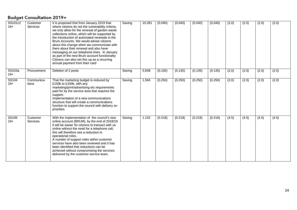| SS101c2<br>$19+$ | Customer<br><b>Services</b> | It is proposed that from January 2019 that<br>where citizens do not the vulnerability criteria,<br>we only allow for the renewal of garden waste<br>collections online, which will be supported by<br>the introduction of automated renewals in the<br>Brum Accounts. We would advise citizens<br>about this change when we communicate with<br>them about their renewal and also have<br>messaging on our telephone lines. In January<br>as part of the new Brum account functionality<br>Citizens can also set this up as a recurring<br>annual payment from their card | Saving | 10.391 | (0.040) | (0.040) | (0.040) | (0.040) | (2.0) | (2.0) | (2.0) | (2.0) |
|------------------|-----------------------------|---------------------------------------------------------------------------------------------------------------------------------------------------------------------------------------------------------------------------------------------------------------------------------------------------------------------------------------------------------------------------------------------------------------------------------------------------------------------------------------------------------------------------------------------------------------------------|--------|--------|---------|---------|---------|---------|-------|-------|-------|-------|
| SS103a<br>$19+$  | Procurement                 | Deletion of 2 posts                                                                                                                                                                                                                                                                                                                                                                                                                                                                                                                                                       | Saving | 0.838  | (0.135) | (0.135) | (0.135) | (0.135) | (2.0) | (2.0) | (2.0) | (2.0) |
| SS104<br>$19+$   | Communica-<br>tions         | That the marketing budget is reduced by<br>£150k to £100k, with any<br>marketing/print/advertising etc requirements<br>paid for by the service area that requires the<br>support.<br>Implementation of a new communications<br>structure that will create a communications<br>function to support the council with delivery on<br>priorities.                                                                                                                                                                                                                             | Saving | 1.594  | (0.250) | (0.250) | (0.250) | (0.250) | (2.0) | (2.0) | (2.0) | (2.0) |
| SS105<br>$19+$   | Customer<br><b>Services</b> | With the implementation of the council's new<br>online account (BRUM), by the end of 2018/19<br>it will be easier for citizens to transact with us<br>online without the need for a telephone call,<br>this will therefore see a reduction in<br>operational roles.<br>A number of support roles within customer<br>services have also been reviewed and it has<br>been identified that reductions can be<br>achieved without compromising the services<br>delivered by the customer service team.                                                                        | Saving | 1.132  | (0.218) | (0.218) | (0.218) | (0.218) | (4.5) | (4.5) | (4.5) | (4.5) |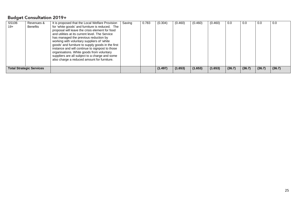| SS106<br>19+ | Revenues &<br>Benefits          | It is proposed that the Local Welfare Provision<br>for 'white goods' and furniture is reduced. The<br>proposal will leave the crisis element for food<br>and utilities at its current level. The Service<br>has managed the previous reduction by<br>working with voluntary suppliers of 'white<br>goods' and furniture to supply goods in the first<br>instance and will continue to signpost to those<br>organisations. White goods from voluntary<br>suppliers are all subject to a charge and some | Saving | 0.783 | (0.304) | (0.460) | (0.460) | (0.460) | 0.0    | 0.0    | 0.0    | 0.0    |
|--------------|---------------------------------|--------------------------------------------------------------------------------------------------------------------------------------------------------------------------------------------------------------------------------------------------------------------------------------------------------------------------------------------------------------------------------------------------------------------------------------------------------------------------------------------------------|--------|-------|---------|---------|---------|---------|--------|--------|--------|--------|
|              |                                 | also charge a reduced amount for furniture.                                                                                                                                                                                                                                                                                                                                                                                                                                                            |        |       |         |         |         |         |        |        |        |        |
|              | <b>Total Strategic Services</b> |                                                                                                                                                                                                                                                                                                                                                                                                                                                                                                        |        |       | (1.497) | (1.653) | (1.653) | (1.653) | (36.7) | (36.7) | (36.7) | (36.7) |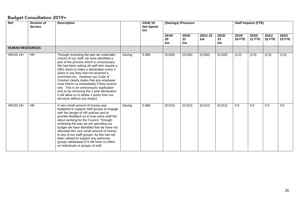| Ref.                   | <b>Division of</b><br><b>Service</b> | <b>Description</b>                                                                                                                                                                                                                                                                                                                                                                                                                                                                                                                                                         |        | 2018/19<br><b>Net Spend</b><br>£m | (Savings) /Pressure<br>2019/ |                   |               |                   |                        | <b>Staff Impacts (FTE)</b> |                 |                        |
|------------------------|--------------------------------------|----------------------------------------------------------------------------------------------------------------------------------------------------------------------------------------------------------------------------------------------------------------------------------------------------------------------------------------------------------------------------------------------------------------------------------------------------------------------------------------------------------------------------------------------------------------------------|--------|-----------------------------------|------------------------------|-------------------|---------------|-------------------|------------------------|----------------------------|-----------------|------------------------|
|                        |                                      |                                                                                                                                                                                                                                                                                                                                                                                                                                                                                                                                                                            |        |                                   | 20<br>£m                     | 2020/<br>21<br>£m | 2021/22<br>£m | 2022/<br>23<br>£m | 2019/<br><b>20 FTE</b> | 2020/<br><b>21 FTE</b>     | 2021/<br>22 FTE | 2022/<br><b>23 FTE</b> |
| <b>HUMAN RESOURCES</b> |                                      |                                                                                                                                                                                                                                                                                                                                                                                                                                                                                                                                                                            |        |                                   |                              |                   |               |                   |                        |                            |                 |                        |
| HR102 19+              | <b>HR</b>                            | Through reviewing the way we undertake<br>checks of our staff, we have identified a<br>part of the process which is unnecessary.<br>We had been asking all staff who require a<br>DBS check to make a declaration every 2<br>years to say they had not received a<br>conviction etc. However our Code of<br>Conduct clearly states that any employee<br>must inform us immediately if they receive<br>one. This is an unnecessary duplication<br>and so by removing the 2 year declaration<br>it will allow us to delete 2 posts from our<br>structure without any impact. | Saving | 5.688                             | (0.040)                      | (0.040)           | (0.040)       | (0.040)           | (2.0)                  | (2.0)                      | (2.0)           | (2.0)                  |
| HR103 19+              | $\overline{HR}$                      | A very small amount of money was<br>budgeted to support staff groups to engage<br>with the design of HR policies and to<br>provide feedback as to how some staff felt<br>about working for the Council. Through<br>reviewing the way we are spending our<br>budget we have identified that we have not<br>allocated this very small amount of money<br>to any of our staff groups. As this has not<br>been utilised to support any particular<br>groups withdrawal of it will have no effect<br>on individuals or groups of staff.                                         | Saving | 5.688                             | (0.012)                      | (0.012)           | (0.012)       | (0.012)           | 0.0                    | 0.0                        | 0.0             | 0.0                    |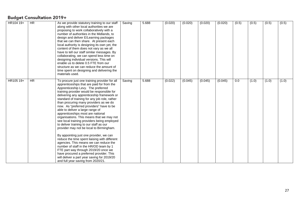| HR104 19+ | <b>HR</b> | As we provide statutory training to our staff<br>along with other local authorities we are<br>proposing to work collaboratively with a<br>number of authorities in the Midlands, to<br>design and deliver E/Learning packages<br>that we can then share. At present each<br>local authority is designing its own yet, the<br>content of them does not vary as we all<br>have to tell our staff similar messages. By<br>collaborating, we can spend less time on<br>designing individual versions. This will<br>enable us to delete 0.5 FTE from our<br>structure as we can reduce the amount of<br>time spent on designing and delivering the<br>materials used.                                                                                                                                                                                                                                                                                                                          | Saving | 5.688 | (0.020) | (0.020) | (0.020) | (0.020) | (0.5) | (0.5) | (0.5) | (0.5) |
|-----------|-----------|-------------------------------------------------------------------------------------------------------------------------------------------------------------------------------------------------------------------------------------------------------------------------------------------------------------------------------------------------------------------------------------------------------------------------------------------------------------------------------------------------------------------------------------------------------------------------------------------------------------------------------------------------------------------------------------------------------------------------------------------------------------------------------------------------------------------------------------------------------------------------------------------------------------------------------------------------------------------------------------------|--------|-------|---------|---------|---------|---------|-------|-------|-------|-------|
| HR105 19+ | <b>HR</b> | To procure just one training provider for all<br>apprenticeships that are paid for from the<br>Apprenticeship Levy. The preferred<br>training provider would be responsible for<br>delivering any apprenticeship framework or<br>standard of training for any job role, rather<br>than procuring many providers as we do<br>now. As "preferred providers" have to be<br>able to deliver a large range of<br>apprenticeships most are national<br>organisations. This means that we may not<br>see local training providers being employed<br>to deliver training to our staff as our<br>provider may not be local to Birmingham.<br>By appointing just one provider, we can<br>reduce the time spent liaising with different<br>agencies. This means we can reduce the<br>number of staff in the HR/OD team by 1<br>FTE part way through 2019/20 once we<br>have procured a preferred provider. This<br>will deliver a part year saving for 2019/20<br>and full year saving from 2020/21. | Saving | 5.688 | (0.022) | (0.045) | (0.045) | (0.045) | 0.0   | (1.0) | (1.0) | (1.0) |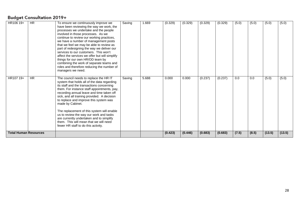| HR106 19+                    | <b>HR</b> | To ensure we continuously improve we<br>have been reviewing the way we work, the<br>processes we undertake and the people<br>involved in those processes. As we<br>continue to review our working practices,<br>we have a number of management posts<br>that we feel we may be able to review as<br>part of redesigning the way we deliver our<br>services to our customers. This won't<br>affect the services we offer but will simplify<br>things for our own HR/OD team by<br>combining the work of separate teams and<br>roles and therefore reducing the number of<br>managers we need. | Saving | 1.669 | (0.329) | (0.329) | (0.329) | (0.329) | (5.0) | (5.0) | (5.0)  | (5.0)  |
|------------------------------|-----------|----------------------------------------------------------------------------------------------------------------------------------------------------------------------------------------------------------------------------------------------------------------------------------------------------------------------------------------------------------------------------------------------------------------------------------------------------------------------------------------------------------------------------------------------------------------------------------------------|--------|-------|---------|---------|---------|---------|-------|-------|--------|--------|
| HR107 19+                    | <b>HR</b> | The council needs to replace the HR IT<br>system that holds all of the data regarding<br>its staff and the transactions concerning<br>them. For instance staff appointments, pay,<br>recording annual leave and time taken off<br>sick, and all training provided. A decision<br>to replace and improve this system was<br>made by Cabinet.<br>The replacement of this system will enable<br>us to review the way our work and tasks<br>are currently undertaken and to simplify<br>them. This will mean that we will need<br>fewer HR staff to do this activity.                            | Saving | 5.688 | 0.000   | 0.000   | (0.237) | (0.237) | 0.0   | 0.0   | (5.0)  | (5.0)  |
| <b>Total Human Resources</b> |           |                                                                                                                                                                                                                                                                                                                                                                                                                                                                                                                                                                                              |        |       | (0.423) | (0.446) | (0.683) | (0.683) | (7.5) | (8.5) | (13.5) | (13.5) |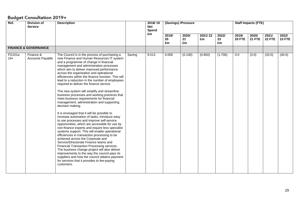| Ref.                   | <b>Division of</b><br><b>Service</b> | <b>Description</b>                                                                                                                                                                                                                                                                                                                                                                                                                                                                                                                                                                                                                                                                                                                                                                                                                                                                                                                                                                                                                                                                                                                                                                                                                                                                                                                     |        | 2018/19<br><b>Net</b><br>Spend | (Savings) /Pressure |                   |               |                   |                        | <b>Staff Impacts (FTE)</b> |                        |                 |
|------------------------|--------------------------------------|----------------------------------------------------------------------------------------------------------------------------------------------------------------------------------------------------------------------------------------------------------------------------------------------------------------------------------------------------------------------------------------------------------------------------------------------------------------------------------------------------------------------------------------------------------------------------------------------------------------------------------------------------------------------------------------------------------------------------------------------------------------------------------------------------------------------------------------------------------------------------------------------------------------------------------------------------------------------------------------------------------------------------------------------------------------------------------------------------------------------------------------------------------------------------------------------------------------------------------------------------------------------------------------------------------------------------------------|--------|--------------------------------|---------------------|-------------------|---------------|-------------------|------------------------|----------------------------|------------------------|-----------------|
|                        |                                      |                                                                                                                                                                                                                                                                                                                                                                                                                                                                                                                                                                                                                                                                                                                                                                                                                                                                                                                                                                                                                                                                                                                                                                                                                                                                                                                                        |        | £m                             | 2019/<br>20<br>£m   | 2020/<br>21<br>£m | 2021/22<br>£m | 2022/<br>23<br>£m | 2019/<br><b>20 FTE</b> | 2020/<br><b>21 FTE</b>     | 2021/<br><b>22 FTE</b> | 2022/<br>23 FTE |
|                        | <b>FINANCE &amp; GOVERNANCE</b>      |                                                                                                                                                                                                                                                                                                                                                                                                                                                                                                                                                                                                                                                                                                                                                                                                                                                                                                                                                                                                                                                                                                                                                                                                                                                                                                                                        |        |                                |                     |                   |               |                   |                        |                            |                        |                 |
| <b>FG101a</b><br>$19+$ | Finance &<br><b>Accounts Payable</b> | The Council is in the process of purchasing a<br>new Finance and Human Resources IT system<br>and a programme of change in financial<br>management and administration processes<br>which aim to deliver improved performance<br>across the organisation and operational<br>efficiencies within the finance function. This will<br>lead to a reduction in the number of employees<br>required to deliver the finance service.<br>The new system will simplify and streamline<br>business processes and working practices that<br>meet business requirements for financial<br>management, administration and supporting<br>decision making.<br>It is envisaged that it will be possible to<br>increase automation of tasks, introduce easy<br>to use processes and improve self-service<br>opportunities, which are accessible for use by<br>non-finance experts and require less specialist<br>systems support. This will enable operational<br>efficiencies in transaction processing to be<br>achieved across the Corporate and<br>Service/Directorate Finance teams and<br>Financial Transaction Processing services.<br>The business change project will also deliver<br>improvements to the way the council pays its<br>suppliers and how the council obtains payment<br>for services that it provides to fee-paying<br>customers. | Saving | 9.513                          | 0.000               | (0.100)           | (0.850)       | (1.700)           | 0.0                    | (3.0)                      | (20.0)                 | (40.0)          |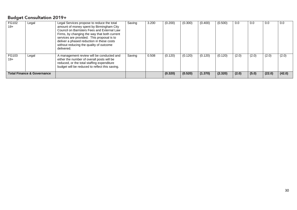| FG102<br>Legal<br>$19+$                                          | Legal Services propose to reduce the total<br>amount of money spent by Birmingham City<br>Council on Barristers Fees and External Law<br>Firms, by changing the way that both current<br>services are provided. This proposal is to<br>deliver a phased reduction in these costs<br>without reducing the quality of outcome | Saving | 3.200 | (0.200)            | (0.300)            | (0.400)            | (0.500)            | 0.0            | 0.0            | 0.0             | 0.0             |
|------------------------------------------------------------------|-----------------------------------------------------------------------------------------------------------------------------------------------------------------------------------------------------------------------------------------------------------------------------------------------------------------------------|--------|-------|--------------------|--------------------|--------------------|--------------------|----------------|----------------|-----------------|-----------------|
| FG103<br>Legal<br>$19+$<br><b>Total Finance &amp; Governance</b> | delivered.<br>A management review will be conducted and<br>either the number of overall posts will be<br>reduced, or the total staffing expenditure<br>budget will be reduced to reflect this saving.                                                                                                                       | Saving | 0.508 | (0.120)<br>(0.320) | (0.120)<br>(0.520) | (0.120)<br>(1.370) | (0.120)<br>(2.320) | (2.0)<br>(2.0) | (2.0)<br>(5.0) | (2.0)<br>(22.0) | (2.0)<br>(42.0) |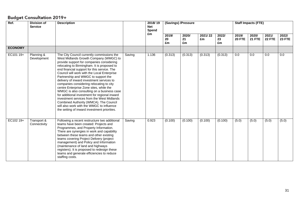| Ref.           | <b>Division of</b><br><b>Service</b> | <b>Description</b>                                                                                                                                                                                                                                                                                                                                                                                                                                                                                                                                                                                                                                                                                                                            |        | 2018/19<br><b>Net</b><br>Spend | (Savings) /Pressure |                   |               |                   |                        | <b>Staff Impacts (FTE)</b> |                        |                        |
|----------------|--------------------------------------|-----------------------------------------------------------------------------------------------------------------------------------------------------------------------------------------------------------------------------------------------------------------------------------------------------------------------------------------------------------------------------------------------------------------------------------------------------------------------------------------------------------------------------------------------------------------------------------------------------------------------------------------------------------------------------------------------------------------------------------------------|--------|--------------------------------|---------------------|-------------------|---------------|-------------------|------------------------|----------------------------|------------------------|------------------------|
|                |                                      |                                                                                                                                                                                                                                                                                                                                                                                                                                                                                                                                                                                                                                                                                                                                               |        | £m                             | 2019/<br>20<br>£m   | 2020/<br>21<br>£m | 2021/22<br>£m | 2022/<br>23<br>£m | 2019/<br><b>20 FTE</b> | 2020/<br><b>21 FTE</b>     | 2021/<br><b>22 FTE</b> | 2022/<br><b>23 FTE</b> |
| <b>ECONOMY</b> |                                      |                                                                                                                                                                                                                                                                                                                                                                                                                                                                                                                                                                                                                                                                                                                                               |        |                                |                     |                   |               |                   |                        |                            |                        |                        |
| EC101 19+      | Planning &<br>Development            | The City Council currently commissions the<br>West Midlands Growth Company (WMGC) to<br>provide support for companies considering<br>relocating to Birmingham. It is proposed to<br>end financial support for this service. The<br>Council will work with the Local Enterprise<br>Partnership and WMGC to support the<br>delivery of inward investment services to<br>companies considering relocating to city<br>centre Enterprise Zone sites, while the<br>WMGC is also consulting on a business case<br>for additional investment for regional inward<br>investment services from the West Midlands<br>Combined Authority (WMCA). The Council<br>will also work with the WMGC to influence<br>the setting of inward investment priorities. | Saving | 1.136                          | (0.313)             | (0.313)           | (0.313)       | (0.313)           | 0.0                    | 0.0                        | 0.0                    | 0.0                    |
| EC102 19+      | Transport &<br>Connectivity          | Following a recent restructure two additional<br>teams have been created: Projects and<br>Programmes, and Property Information.<br>There are synergies in work and capability<br>between these teams and other existing<br>teams covering Project Delivery (project<br>management) and Policy and Information<br>(maintenance of land and highways<br>registers). It is proposed to redesign these<br>teams and generate efficiencies to reduce<br>staffing costs.                                                                                                                                                                                                                                                                            | Saving | 0.923                          | (0.100)             | (0.100)           | (0.100)       | (0.100)           | (5.0)                  | (5.0)                      | (5.0)                  | (5.0)                  |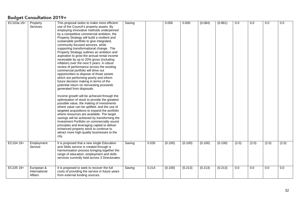|            |                                        |                                                                                                                                                                                                                                                                                                                                                                                                                                                                                                                                                                                                                                                                                                                                                                                                                                                                                                                                                                                                                                                                                                                                                                                                                                                                                                                                                                                           |        |       | 0.000   | 0.000   |         |         | 0.0   | 0.0   | 0.0   | 0.0   |
|------------|----------------------------------------|-------------------------------------------------------------------------------------------------------------------------------------------------------------------------------------------------------------------------------------------------------------------------------------------------------------------------------------------------------------------------------------------------------------------------------------------------------------------------------------------------------------------------------------------------------------------------------------------------------------------------------------------------------------------------------------------------------------------------------------------------------------------------------------------------------------------------------------------------------------------------------------------------------------------------------------------------------------------------------------------------------------------------------------------------------------------------------------------------------------------------------------------------------------------------------------------------------------------------------------------------------------------------------------------------------------------------------------------------------------------------------------------|--------|-------|---------|---------|---------|---------|-------|-------|-------|-------|
| EC103a 19+ | Property<br>Services                   | This proposal seeks to make more efficient<br>use of the Council's property assets. By<br>employing innovative methods underpinned<br>by a competitive commercial ambition, the<br>Property Strategy will build a resilient and<br>sustainable portfolio to give integrated,<br>community focused services, while<br>supporting transformational change. The<br>Property Strategy outlines an ambition and<br>aspiration to grow the annual rental income<br>receivable by up to 20% gross (including<br>inflation) over the next 5 years. A robust<br>review of performance across the existing<br>commercial portfolio will drive out<br>opportunities to dispose of those assets<br>which are performing poorly and inform<br>future decision making in terms of the<br>potential return on reinvesting proceeds<br>generated from disposals.<br>Income growth will be achieved through the<br>optimisation of stock to provide the greatest<br>possible value, the making of investments<br>where value can be uplifted, and the use of<br>targeted acquisitions to expand the portfolio<br>where resources are available. The target<br>savings will be achieved by transforming the<br>Investment Portfolio on commercially sound<br>principles and leveraging capital to deliver<br>enhanced property stock to continue to<br>attract more high-quality businesses to the<br>city. | Saving |       |         |         | (0.084) | (0.861) |       |       |       |       |
| EC104 19+  | Employment<br>Service                  | It is proposed that a new single Education<br>and Skills service is created through a<br>harmonisation process bringing together the<br>range of education, employment and skills<br>services currently held across 3 Directorates.                                                                                                                                                                                                                                                                                                                                                                                                                                                                                                                                                                                                                                                                                                                                                                                                                                                                                                                                                                                                                                                                                                                                                       | Saving | 0.535 | (0.100) | (0.100) | (0.100) | (0.100) | (2.0) | (2.0) | (2.0) | (2.0) |
| EC105 19+  | European &<br>International<br>Affairs | It is proposed to seek to recover the full<br>costs of providing the service in future years<br>from external funding sources.                                                                                                                                                                                                                                                                                                                                                                                                                                                                                                                                                                                                                                                                                                                                                                                                                                                                                                                                                                                                                                                                                                                                                                                                                                                            | Saving | 0.214 | (0.100) | (0.213) | (0.213) | (0.213) | 0.0   | 0.0   | 0.0   | 0.0   |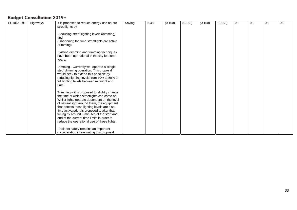| EC106a 19+ | Highways | It is proposed to reduce energy use on our                                                | Saving | 5.380 | (0.150) | (0.150) | (0.150) | (0.150) | 0.0 | 0.0 | 0.0 | 0.0 |
|------------|----------|-------------------------------------------------------------------------------------------|--------|-------|---------|---------|---------|---------|-----|-----|-----|-----|
|            |          | streetlights by                                                                           |        |       |         |         |         |         |     |     |     |     |
|            |          |                                                                                           |        |       |         |         |         |         |     |     |     |     |
|            |          | • reducing street lighting levels (dimming)                                               |        |       |         |         |         |         |     |     |     |     |
|            |          | and<br>• shortening the time streetlights are active                                      |        |       |         |         |         |         |     |     |     |     |
|            |          | (trimming)                                                                                |        |       |         |         |         |         |     |     |     |     |
|            |          | Existing dimming and trimming techniques                                                  |        |       |         |         |         |         |     |     |     |     |
|            |          | have been operational in the city for some                                                |        |       |         |         |         |         |     |     |     |     |
|            |          | years.                                                                                    |        |       |         |         |         |         |     |     |     |     |
|            |          | Dimming - Currently we operate a 'single                                                  |        |       |         |         |         |         |     |     |     |     |
|            |          | step' dimming operation. This proposal                                                    |        |       |         |         |         |         |     |     |     |     |
|            |          | would seek to extend this principle by                                                    |        |       |         |         |         |         |     |     |     |     |
|            |          | reducing lighting levels from 70% to 50% of                                               |        |       |         |         |         |         |     |     |     |     |
|            |          | full lighting levels between midnight and                                                 |        |       |         |         |         |         |     |     |     |     |
|            |          | 5am.                                                                                      |        |       |         |         |         |         |     |     |     |     |
|            |          | Trimming – it is proposed to slightly change                                              |        |       |         |         |         |         |     |     |     |     |
|            |          | the time at which streetlights can come on.                                               |        |       |         |         |         |         |     |     |     |     |
|            |          | Whilst lights operate dependent on the level                                              |        |       |         |         |         |         |     |     |     |     |
|            |          | of natural light around them, the equipment                                               |        |       |         |         |         |         |     |     |     |     |
|            |          | that detects those lighting levels are also                                               |        |       |         |         |         |         |     |     |     |     |
|            |          | time activated. It is proposed to alter that                                              |        |       |         |         |         |         |     |     |     |     |
|            |          | timing by around 5 minutes at the start and<br>end of the current time limits in order to |        |       |         |         |         |         |     |     |     |     |
|            |          | reduce the operational use of those lights.                                               |        |       |         |         |         |         |     |     |     |     |
|            |          |                                                                                           |        |       |         |         |         |         |     |     |     |     |
|            |          | Resident safety remains an important                                                      |        |       |         |         |         |         |     |     |     |     |
|            |          | consideration in evaluating this proposal.                                                |        |       |         |         |         |         |     |     |     |     |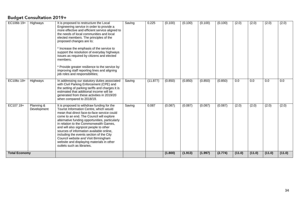| EC106b 19+           | Highways                  | It is proposed to restructure the Local<br>Engineering service in order to provide a<br>more effective and efficient service aligned to<br>the needs of local communities and local<br>elected members. The principles of the<br>proposed changes are to;<br>* Increase the emphasis of the service to<br>support the resolution of everyday highways<br>issues as required by citizens and elected<br>members;<br>* Provide greater resilience to the service by<br>improving staff reporting lines and aligning<br>job roles and responsibilities; | Saving | 0.225    | (0.100) | (0.100) | (0.100) | (0.100) | (2.0)  | (2.0)  | (2.0)  | (2.0)  |
|----------------------|---------------------------|------------------------------------------------------------------------------------------------------------------------------------------------------------------------------------------------------------------------------------------------------------------------------------------------------------------------------------------------------------------------------------------------------------------------------------------------------------------------------------------------------------------------------------------------------|--------|----------|---------|---------|---------|---------|--------|--------|--------|--------|
| EC106c 19+           | Highways                  | In addressing our statutory duties associated<br>with Civil Parking Enforcement (CPE) and<br>the setting of parking tariffs and charges it is<br>estimated that additional income will be<br>generated from these activities in 2019/20<br>when compared to 2018/19.                                                                                                                                                                                                                                                                                 | Saving | (11.877) | (0.850) | (0.850) | (0.850) | (0.850) | 0.0    | 0.0    | 0.0    | 0.0    |
| EC107 19+            | Planning &<br>Development | It is proposed to withdraw funding for the<br>Tourist Information Centre, which would<br>mean that direct face-to-face service could<br>come to an end. The Council will explore<br>alternative funding opportunities, particularly<br>in relation to the Commonwealth Games,<br>and will also signpost people to other<br>sources of information available online,<br>including the events section of the City<br>Council website and Visit Birmingham<br>website and displaying materials in other<br>outlets such as libraries.                   | Saving | 0.087    | (0.087) | (0.087) | (0.087) | (0.087) | (2.0)  | (2.0)  | (2.0)  | (2.0)  |
| <b>Total Economy</b> |                           |                                                                                                                                                                                                                                                                                                                                                                                                                                                                                                                                                      |        |          | (1.800) | (1.913) | (1.997) | (2.774) | (11.0) | (11.0) | (11.0) | (11.0) |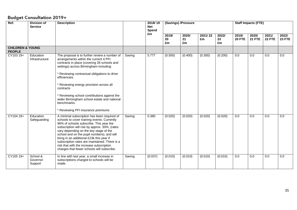| Ref.                                         | <b>Division of</b><br><b>Service</b> | <b>Description</b>                                                                                                                                                                                                                                                                                                                                                                                                                                                    |        | 2018/19<br><b>Net</b> | (Savings) /Pressure |                   |               |                   |                        | <b>Staff Impacts (FTE)</b> |                 |                        |
|----------------------------------------------|--------------------------------------|-----------------------------------------------------------------------------------------------------------------------------------------------------------------------------------------------------------------------------------------------------------------------------------------------------------------------------------------------------------------------------------------------------------------------------------------------------------------------|--------|-----------------------|---------------------|-------------------|---------------|-------------------|------------------------|----------------------------|-----------------|------------------------|
|                                              |                                      |                                                                                                                                                                                                                                                                                                                                                                                                                                                                       |        | Spend                 |                     |                   |               |                   |                        |                            |                 |                        |
|                                              |                                      |                                                                                                                                                                                                                                                                                                                                                                                                                                                                       |        | £m                    | 2019/<br>20<br>£m   | 2020/<br>21<br>£m | 2021/22<br>£m | 2022/<br>23<br>£m | 2019/<br><b>20 FTE</b> | 2020/<br><b>21 FTE</b>     | 2021/<br>22 FTE | 2022/<br><b>23 FTE</b> |
| <b>CHILDREN &amp; YOUNG</b><br><b>PEOPLE</b> |                                      |                                                                                                                                                                                                                                                                                                                                                                                                                                                                       |        |                       |                     |                   |               |                   |                        |                            |                 |                        |
| CY103 19+                                    | Education<br>Infrastructure          | The proposal is to further review a number of<br>arrangements within the current 4 PFI<br>contracts in place (covering 28 schools and<br>settings) across Birmingham including:<br>* Reviewing contractual obligations to drive<br>efficiencies.<br>* Reviewing energy provision across all<br>contracts<br>* Reviewing school contributions against the<br>wider Birmingham school estate and national<br>benchmarks.<br>* Reviewing PFI insurance premiums          | Saving | 5.777                 | (0.500)             | (0.400)           | (0.300)       | (0.200)           | 0.0                    | 0.0                        | 0.0             | 0.0                    |
| CY104 19+                                    | Education<br>Safeguarding            | A minimal subscription has been required of<br>schools to cover training events. Currently<br>96% of schools subscribe. This year the<br>subscription will rise by approx. 30%, (rates<br>vary depending on the key stage of the<br>school and on the pupil numbers), and will<br>bring in an additional £23k this year if<br>subscription rates are maintained. There is a<br>risk that with the increase subscription<br>charges that fewer schools will subscribe. | Saving | 0.380                 | (0.020)             | (0.020)           | (0.020)       | (0.020)           | 0.0                    | 0.0                        | 0.0             | 0.0                    |
| CY105 19+                                    | School &<br>Governor<br>Support      | In line with last year, a small increase in<br>subscriptions charged to schools will be<br>made.                                                                                                                                                                                                                                                                                                                                                                      | Saving | (0.037)               | (0.010)             | (0.010)           | (0.010)       | (0.010)           | 0.0                    | $\overline{0.0}$           | 0.0             | 0.0                    |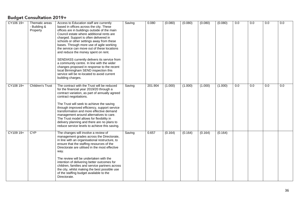| CY106 19+ | Thematic areas<br>- Building &<br>Property | Access to Education staff are currently<br>based in offices across the city. These<br>offices are in buildings outside of the main<br>Council estate where additional rents are<br>charged. Support is often delivered in<br>schools or other settings away from these<br>bases. Through more use of agile working<br>the service can move out of these locations<br>and reduce the money spent on rent.                                                                                             | Saving | 0.080   | (0.080) | (0.080) | (0.080) | (0.080) | 0.0 | 0.0 | 0.0 | 0.0 |
|-----------|--------------------------------------------|------------------------------------------------------------------------------------------------------------------------------------------------------------------------------------------------------------------------------------------------------------------------------------------------------------------------------------------------------------------------------------------------------------------------------------------------------------------------------------------------------|--------|---------|---------|---------|---------|---------|-----|-----|-----|-----|
|           |                                            | SENDIASS currently delivers its service from<br>a community centre. In line with the wider<br>changes proposed in response to the recent<br>local Birmingham SEND inspection this<br>service will be re-located to avoid current<br>building charges.                                                                                                                                                                                                                                                |        |         |         |         |         |         |     |     |     |     |
| CY108 19+ | <b>Children's Trust</b>                    | The contract with the Trust will be reduced<br>for the financial year 2019/20 through a<br>contract variation, as part of annually agreed<br>contract negotiations.<br>The Trust will seek to achieve the saving<br>through improved efficiency, support service<br>transformation and more effective demand<br>management around alternatives to care.<br>The Trust model allows for flexibility in<br>delivery planning and there are no plans to<br>reduce service levels to achieve this saving. | Saving | 201.904 | (1.000) | (1.000) | (1.000) | (1.000) | 0.0 | 0.0 | 0.0 | 0.0 |
| CY109 19+ | <b>CYP</b>                                 | The changes will involve a review of<br>management grades across the Directorate,<br>in line with an organisational restructure, to<br>ensure that the staffing resources of the<br>Directorate are utilised in the most effective<br>way.<br>The review will be undertaken with the<br>intention of delivering better outcomes for<br>children, families and service partners across<br>the city, whilst making the best possible use<br>of the staffing budget available to the<br>Directorate.    | Saving | 0.657   | (0.164) | (0.164) | (0.164) | (0.164) |     |     |     |     |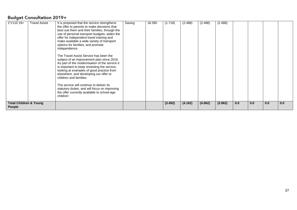| CY110 19+                                   | <b>Travel Assist</b> | It is proposed that the service strengthens<br>the offer to parents to make decisions that<br>best suit them and their families, through the<br>use of personal transport budgets; widen the<br>offer for independent travel training and<br>make available a wide variety of transport<br>options for families, and promote<br>independence.<br>The Travel Assist Service has been the<br>subject of an improvement plan since 2016.<br>As part of the modernisation of the service it<br>is important to keep reviewing the service,<br>looking at examples of good practice from<br>elsewhere, and developing our offer to<br>children and families.<br>The service will continue to deliver its<br>statutory duties, and will focus on improving<br>the offer currently available to school-age<br>children | Saving | 18.395 | (1.718) | (2.488) | (2.488) | (2.488) |     |     |     |     |
|---------------------------------------------|----------------------|-----------------------------------------------------------------------------------------------------------------------------------------------------------------------------------------------------------------------------------------------------------------------------------------------------------------------------------------------------------------------------------------------------------------------------------------------------------------------------------------------------------------------------------------------------------------------------------------------------------------------------------------------------------------------------------------------------------------------------------------------------------------------------------------------------------------|--------|--------|---------|---------|---------|---------|-----|-----|-----|-----|
| <b>Total Children &amp; Young</b><br>People |                      |                                                                                                                                                                                                                                                                                                                                                                                                                                                                                                                                                                                                                                                                                                                                                                                                                 |        |        | (3.492) | (4.162) | (4.062) | (3.962) | 0.0 | 0.0 | 0.0 | 0.0 |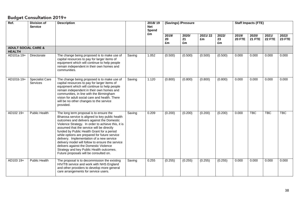| Ref.                                            | <b>Division of</b><br><b>Service</b> | <b>Description</b>                                                                                                                                                                                                                                                                                                                                                                                                                                                                                                                                                          |        | 2018/19<br><b>Net</b><br>Spend |                   | (Savings) /Pressure |               |                   |                        | <b>Staff Impacts (FTE)</b> |                 |                        |
|-------------------------------------------------|--------------------------------------|-----------------------------------------------------------------------------------------------------------------------------------------------------------------------------------------------------------------------------------------------------------------------------------------------------------------------------------------------------------------------------------------------------------------------------------------------------------------------------------------------------------------------------------------------------------------------------|--------|--------------------------------|-------------------|---------------------|---------------|-------------------|------------------------|----------------------------|-----------------|------------------------|
|                                                 |                                      |                                                                                                                                                                                                                                                                                                                                                                                                                                                                                                                                                                             |        | £m                             | 2019/<br>20<br>£m | 2020/<br>21<br>£m   | 2021/22<br>£m | 2022/<br>23<br>£m | 2019/<br><b>20 FTE</b> | 2020/<br><b>21 FTE</b>     | 2021/<br>22 FTE | 2022/<br><b>23 FTE</b> |
| <b>ADULT SOCIAL CARE &amp;</b><br><b>HEALTH</b> |                                      |                                                                                                                                                                                                                                                                                                                                                                                                                                                                                                                                                                             |        |                                |                   |                     |               |                   |                        |                            |                 |                        |
| AD101a 19+                                      | Directorate                          | The change being proposed is to make use of<br>capital resources to pay for larger items of<br>equipment which will continue to help people<br>remain independent in their own homes and<br>communities.                                                                                                                                                                                                                                                                                                                                                                    | Saving | 1.052                          | (0.500)           | (0.500)             | (0.500)       | (0.500)           | 0.000                  | 0.000                      | 0.000           | 0.000                  |
| AD101b 19+                                      | <b>Specialist Care</b><br>Services   | The change being proposed is to make use of<br>capital resources to pay for larger items of<br>equipment which will continue to help people<br>remain independent in their own homes and<br>communities, in line with the Birmingham<br>vision for adult social care and health. There<br>will be no other changes to the service<br>provided.                                                                                                                                                                                                                              | Saving | 1.120                          | (0.800)           | (0.800)             | (0.800)       | (0.800)           | 0.000                  | 0.000                      | 0.000           | 0.000                  |
| AD102 19+                                       | Public Health                        | The long term proposal is to ensure the<br>Bharosa service is aligned to key public health<br>outcomes and delivers against the Domestic<br>Violence Strategy. In order to achieve this, it is<br>assumed that the service will be directly<br>funded by Public Health Grant for a period<br>while options are prepared for future service<br>delivery. Implementation of a new service<br>delivery model will follow to ensure the service<br>delivers against the Domestic Violence<br>Strategy and key Public Health outcomes.<br>Future proposals will be consulted on. | Saving | 0.209                          | (0.200)           | (0.200)             | (0.200)       | (0.200)           | 0.000                  | <b>TBC</b>                 | <b>TBC</b>      | <b>TBC</b>             |
| AD103 19+                                       | <b>Public Health</b>                 | The proposal is to decommission the existing<br>HIV/TB service and work with NHS England<br>and other providers to develop more general<br>care arrangements for service users.                                                                                                                                                                                                                                                                                                                                                                                             | Saving | 0.255                          | (0.255)           | (0.255)             | (0.255)       | (0.255)           | 0.000                  | 0.000                      | 0.000           | 0.000                  |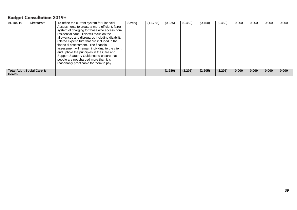| AD104 19+                                      | Directorate | To refine the current system for Financial<br>Assessments to create a more efficient, fairer<br>system of charging for those who access non-<br>residential care. This will focus on the<br>allowances and disregards including disability<br>related expenditure that are included in the<br>financial assessment. The financial<br>assessment will remain individual to the client<br>and uphold the principles in the Care and<br>Support Statutory Guidance to ensure that<br>people are not charged more than it is<br>reasonably practicable for them to pay. | Saving | (11.758) | (0.225) | (0.450) | (0.450) | (0.450) | 0.000 | 0.000 | 0.000 | 0.000 |
|------------------------------------------------|-------------|---------------------------------------------------------------------------------------------------------------------------------------------------------------------------------------------------------------------------------------------------------------------------------------------------------------------------------------------------------------------------------------------------------------------------------------------------------------------------------------------------------------------------------------------------------------------|--------|----------|---------|---------|---------|---------|-------|-------|-------|-------|
| <b>Total Adult Social Care &amp;</b><br>Health |             |                                                                                                                                                                                                                                                                                                                                                                                                                                                                                                                                                                     |        |          | (1.980) | (2.205) | (2.205) | (2.205) | 0.000 | 0.000 | 0.000 | 0.000 |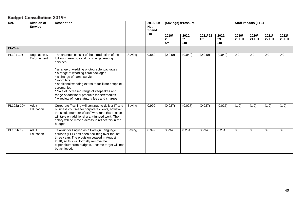| Ref.         | <b>Division of</b><br><b>Service</b> | <b>Description</b>                                                                                                                                                                                                                                                                                                                                                                                                                                        |        | 2018/19<br><b>Net</b><br>Spend | (Savings) /Pressure |                   |               |                   |                        | <b>Staff Impacts (FTE)</b> |                  |                        |
|--------------|--------------------------------------|-----------------------------------------------------------------------------------------------------------------------------------------------------------------------------------------------------------------------------------------------------------------------------------------------------------------------------------------------------------------------------------------------------------------------------------------------------------|--------|--------------------------------|---------------------|-------------------|---------------|-------------------|------------------------|----------------------------|------------------|------------------------|
|              |                                      |                                                                                                                                                                                                                                                                                                                                                                                                                                                           |        | £m                             | 2019/<br>20<br>£m   | 2020/<br>21<br>£m | 2021/22<br>£m | 2022/<br>23<br>£m | 2019/<br><b>20 FTE</b> | 2020/<br><b>21 FTE</b>     | 2021/<br>22 FTE  | 2022/<br><b>23 FTE</b> |
| <b>PLACE</b> |                                      |                                                                                                                                                                                                                                                                                                                                                                                                                                                           |        |                                |                     |                   |               |                   |                        |                            |                  |                        |
| PL101 19+    | Regulation &<br>Enforcement          | The changes consist of the introduction of the<br>following new optional income generating<br>services:<br>* a range of wedding photography packages<br>* a range of wedding floral packages<br>* a change of name service<br>* room hire<br>* additional wedding extras to facilitate bespoke<br>ceremonies<br>* Sale of increased range of keepsakes and<br>range of additional products for ceremonies<br>* A review of non-statutory fees and charges | Saving | 0.860                          | (0.040)             | (0.040)           | (0.040)       | (0.040)           | $\overline{0.0}$       | 0.0                        | $\overline{0.0}$ | $\overline{0.0}$       |
| PL102a 19+   | Adult<br>Education                   | Corporate Training will continue to deliver IT and<br>business courses for corporate clients, however<br>the single member of staff who runs this section<br>will take on additional grant-funded work. Their<br>salary will be moved across to reflect this in the<br>budget.                                                                                                                                                                            | Saving | 0.999                          | (0.027)             | (0.027)           | (0.027)       | (0.027)           | (1.0)                  | (1.0)                      | (1.0)            | (1.0)                  |
| PL102b 19+   | Adult<br>Education                   | Take-up for English as a Foreign Language<br>courses (EFL) has been declining over the last<br>three years The provision ceased in August<br>2018, so this will formally remove the<br>expenditure from budgets. Income target will not<br>be achieved.                                                                                                                                                                                                   | Saving | 0.999                          | 0.234               | 0.234             | 0.234         | 0.234             | $\overline{0.0}$       | 0.0                        | $\overline{0.0}$ | $\overline{0.0}$       |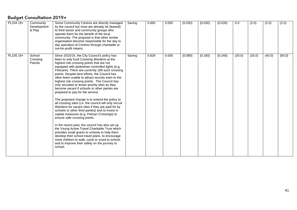| PL104 19+ | Community<br>Development<br>& Play | Some Community Centres are directly managed<br>by the council but most are already let (leased)<br>to third sector and community groups who<br>operate them for the benefit of the local<br>community. The proposal is that other similar<br>organisation become responsible for the day to<br>day operation of Centres through charitable or<br>not-for-profit means.                                                                                                                                                                                                                                                                                                                                                                                                                                                                                                                                                                                                                                                                                                                                                                                                     | Saving | 0.660 | 0.000 | (0.030) | (0.030) | (0.030) | 0.0    | (2.0)  | (2.0)  | (2.0)  |
|-----------|------------------------------------|----------------------------------------------------------------------------------------------------------------------------------------------------------------------------------------------------------------------------------------------------------------------------------------------------------------------------------------------------------------------------------------------------------------------------------------------------------------------------------------------------------------------------------------------------------------------------------------------------------------------------------------------------------------------------------------------------------------------------------------------------------------------------------------------------------------------------------------------------------------------------------------------------------------------------------------------------------------------------------------------------------------------------------------------------------------------------------------------------------------------------------------------------------------------------|--------|-------|-------|---------|---------|---------|--------|--------|--------|--------|
| PL105 19+ | School<br>Crossing<br>Patrols      | Since 2015/16, the City Council's policy has<br>been to only fund Crossing Wardens at the<br>highest risk crossing points that are not<br>equipped with pedestrian controlled lights (e.g.<br>Pelicans). There are currently 189 such crossing<br>points. Despite best efforts, the Council has<br>often been unable to attract recruits even to the<br>highest risk crossing points. The Council has<br>only recruited to lesser priority sites as they<br>become vacant if schools or other parties are<br>prepared to pay for the service.<br>The proposed change is to extend the policy to<br>all crossing sites (i.e. the council will only recruit<br>Wardens for vacant sites if they are paid for by<br>schools or other third parties) and to invest in<br>capital measures (e.g. Pelican Crossings) to<br>ensure safe crossing points.<br>In the recent past, the council has also set up<br>the Young Active Travel Charitable Trust which<br>provides small grants to schools to help them<br>develop their school travel plans, to encourage<br>more children to walk, cycle or scoot to school;<br>and to improve their safety on the journey to<br>school. | Saving | 0.829 | 0.000 | (0.080) | (0.160) | (0.240) | (20.0) | (20.0) | (40.0) | (60.0) |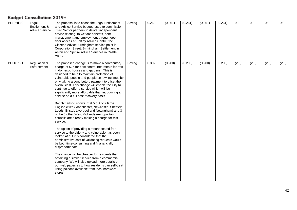| PL106d 19+ | Legal<br>Entitlement &<br><b>Advice Service</b> | The proposal is to cease the Legal Entitlement<br>and Advice Service budget, used to commission<br>Third Sector partners to deliver independent<br>advice relating to welfare benefits, debt<br>management and employment through open<br>door access at Saltley Advice Centre, the<br>Citizens Advice Birmingham service point in<br>Corporation Street, Birmingham Settlement in<br>Aston and Spitfire Advice Services in Castle<br>Vale.                                                                                                                                                                                                                                                                                                                                                                                                                                                                                                                                                                                                                                                                                                                                                                                                                                                      | Saving | 0.262 | (0.261) | (0.261) | (0.261) | (0.261) | 0.0   | 0.0   | 0.0   | 0.0   |
|------------|-------------------------------------------------|--------------------------------------------------------------------------------------------------------------------------------------------------------------------------------------------------------------------------------------------------------------------------------------------------------------------------------------------------------------------------------------------------------------------------------------------------------------------------------------------------------------------------------------------------------------------------------------------------------------------------------------------------------------------------------------------------------------------------------------------------------------------------------------------------------------------------------------------------------------------------------------------------------------------------------------------------------------------------------------------------------------------------------------------------------------------------------------------------------------------------------------------------------------------------------------------------------------------------------------------------------------------------------------------------|--------|-------|---------|---------|---------|---------|-------|-------|-------|-------|
| PL110 19+  | Regulation &<br>Enforcement                     | The proposed change is to make a contributory<br>charge of £25 for pest control treatments for rats<br>in domestic houses and gardens. This is<br>designed to help to maintain protection of<br>vulnerable people and people on low incomes by<br>only taking a contributory payment to offset the<br>overall cost. This change will enable the City to<br>continue to offer a service which will be<br>significantly more affordable than introducing a<br>service on a full cost recovery basis<br>Benchmarking shows that 5 out of 7 large<br>English cities (Manchester, Newcastle, Sheffield,<br>Leeds, Bristol, Liverpool and Nottingham) and 3<br>of the 6 other West Midlands metropolitan<br>councils are already making a charge for this<br>service.<br>The option of providing a means-tested free<br>service to the elderly and vulnerable has been<br>looked at but it is considered that the<br>administrative cost of validating requests would<br>be both time-consuming and finanancially<br>disproportionate.<br>The charge will be cheaper for residents than<br>obtaining a similar service from a commercial<br>company. We will also upload more details on<br>our web pages as to how residents can self-treat<br>using poisons available from local hardware<br>stores. | Saving | 0.307 | (0.200) | (0.200) | (0.200) | (0.200) | (2.0) | (2.0) | (2.0) | (2.0) |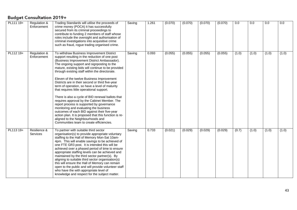| PL111 19+ | Regulation &<br>Enforcement | Trading Standards will utilise the proceeds of<br>crime money (POCA) it has successfully<br>secured from its criminal proceedings to<br>contribute to funding 2 members of staff whose<br>roles include the oversight and authorisation of<br>criminal investigations into acquisitive crime<br>such as fraud, rogue trading organised crime.                                                                                                                                                                                                                                                                                                                                                                                                                                                                                                                                          | Saving | 1.261 | (0.070) | (0.070) | (0.070) | (0.070) | 0.0   | 0.0   | 0.0   | 0.0   |
|-----------|-----------------------------|----------------------------------------------------------------------------------------------------------------------------------------------------------------------------------------------------------------------------------------------------------------------------------------------------------------------------------------------------------------------------------------------------------------------------------------------------------------------------------------------------------------------------------------------------------------------------------------------------------------------------------------------------------------------------------------------------------------------------------------------------------------------------------------------------------------------------------------------------------------------------------------|--------|-------|---------|---------|---------|---------|-------|-------|-------|-------|
| PL112 19+ | Regulation &<br>Enforcement | To withdraw Business Improvement District<br>support resulting in the reduction of one post<br>(Business Improvement District Ambassador).<br>The ongoing support and signposting to the<br>mature, existing bids will continue to be provided<br>through existing staff within the directorate.<br>Eleven of the twelve Business Improvement<br>Districts are in their second or third five-year<br>term of operation, so have a level of maturity<br>that requires little operational support.<br>There is also a cycle of BID renewal ballots that<br>requires approval by the Cabinet Member. The<br>report process is supported by governance<br>monitoring and evaluating the business<br>outcomes of each BID against their five-year<br>action plan. It is proposed that this function is re-<br>aligned to the Neighbourhoods and<br>Communities team to create efficiencies. | Saving | 0.093 | (0.055) | (0.055) | (0.055) | (0.055) | (1.0) | (1.0) | (1.0) | (1.0) |
| PL113 19+ | Resilience &<br>Services    | To partner with suitable third sector<br>organisation(s) to provide appropriate voluntary<br>staffing to the Hall of Memory Mon-Sat 10am-<br>4pm. This will enable savings to be achieved of<br>one FTE GR3 post. It is intended this will be<br>achieved over a phased period of time to ensure<br>appropriate staffing levels can be achieved and<br>maintained by the third sector partner(s). By<br>aligning to suitable third sector organisation(s)<br>this will ensure the Hall of Memory can remain<br>open to the public and will provide volunteer staff<br>who have the with appropriate level of<br>knowledge and respect for the subject matter.                                                                                                                                                                                                                          | Saving | 0.733 | (0.021) | (0.029) | (0.029) | (0.029) | (0.7) | (1.0) | (1.0) | (1.0) |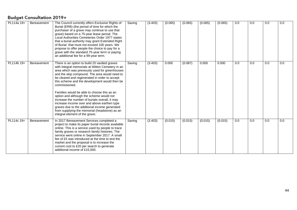| PL114a 19+ | <b>Bereavement</b> | The Council currently offers Exclusive Rights of<br>Burial (ERB) (the period of time for which the<br>purchaser of a grave may continue to use that<br>grave) based on a 75-year lease period. The<br>Local Authorities Cemeteries Order 1977 states<br>that a burial authority may grant Extended Right<br>of Burial that must not exceed 100 years. We<br>propose to offer people the choice to pay for a<br>grave with the standard 75-year term or paying<br>an additional fee for a 99-year term.                                                                                                                                                  | Saving | (3.403) | (0.065) | (0.065) | (0.065) | (0.065) | 0.0 | 0.0 | 0.0 | 0.0 |
|------------|--------------------|---------------------------------------------------------------------------------------------------------------------------------------------------------------------------------------------------------------------------------------------------------------------------------------------------------------------------------------------------------------------------------------------------------------------------------------------------------------------------------------------------------------------------------------------------------------------------------------------------------------------------------------------------------|--------|---------|---------|---------|---------|---------|-----|-----|-----|-----|
| PL114b 19+ | Bereavement        | There is an option to build 20 vaulted graves<br>with integral memorials at Witton Cemetery in an<br>area which was previously used for greenhouses<br>and the skip compound. The area would need to<br>be cleared and regenerated in order to accept<br>this scheme and the development would then be<br>commissioned.<br>Families would be able to choose this as an<br>option and although the scheme would not<br>increase the number of burials overall, it may<br>increase income over and above earthen type<br>graves due to the additional income generated<br>from supplying the memorial (headstone) as an<br>integral element of the grave. | Saving | (3.403) | 0.000   | (0.087) | 0.000   | 0.000   | 0.0 | 0.0 | 0.0 | 0.0 |
| PL114c 19+ | Bereavement        | In 2017 Bereavement Services completed a<br>project to make its paper burial records available<br>online. This is a service used by people to trace<br>family graves or research family histories. The<br>service went online in September 2017. A small<br>fee of £5 was introduced at the time to test the<br>market and the proposal is to increase the<br>current cost to £20 per search to generate<br>additional income of £15,000.                                                                                                                                                                                                               | Saving | (3.403) | (0.015) | (0.015) | (0.015) | (0.015) | 0.0 | 0.0 | 0.0 | 0.0 |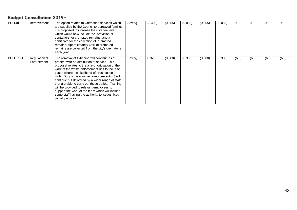| PL114d 19+ | Bereavement                 | The option relates to Cremation services which<br>are supplied by the Council to bereaved families.<br>it is proposed to increase the core fee level<br>which would now include the provision of<br>containers for cremated remains, and a<br>certificate for the collection of cremated<br>remains. Approximately 65% of cremated<br>remains are collected from the city's crematoria<br>each year.                                                                                                                                                                                     | Saving | (3.403) | (0.055) | (0.055) | (0.055) | (0.055) | 0.0   | 0.0   | 0.0   | 0.0   |
|------------|-----------------------------|------------------------------------------------------------------------------------------------------------------------------------------------------------------------------------------------------------------------------------------------------------------------------------------------------------------------------------------------------------------------------------------------------------------------------------------------------------------------------------------------------------------------------------------------------------------------------------------|--------|---------|---------|---------|---------|---------|-------|-------|-------|-------|
| PL115 19+  | Regulation &<br>Enforcement | The removal of flytipping will continue as at<br>present with no diminution of service. This<br>proposal relates to the a re-prioritisation of the<br>work of the waste enforcement unit to focus of<br>cases where the likelihood of prosecution is<br>high. Duty of care inspections (prevention) will<br>continue but delivered by a wider range of staff<br>that are able to carry out these duties. Training<br>will be provided to relevant employees to<br>support the work of the team which will include<br>some staff having the authority to issues fixed<br>penalty notices. | Saving | 0.923   | (0.300) | (0.300) | (0.300) | (0.300) | (6.0) | (6.0) | (6.0) | (6.0) |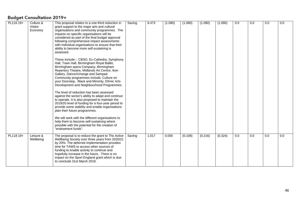| PL116 19+ | Culture & | This proposal relates to a one-third reduction in                                                | Saving | 8.473 | (1.080) | (1.080) | (1.080) | (1.080) | 0.0 | 0.0 | 0.0 | 0.0 |
|-----------|-----------|--------------------------------------------------------------------------------------------------|--------|-------|---------|---------|---------|---------|-----|-----|-----|-----|
|           | Visitor   | grant support to the major arts and cultural                                                     |        |       |         |         |         |         |     |     |     |     |
|           | Economy   | organisations and community programmes. The                                                      |        |       |         |         |         |         |     |     |     |     |
|           |           | impacts on specific organisations will be                                                        |        |       |         |         |         |         |     |     |     |     |
|           |           | considered as part of the final budget approval                                                  |        |       |         |         |         |         |     |     |     |     |
|           |           | following comprehensive impact assessments<br>with individual organisations to ensure that their |        |       |         |         |         |         |     |     |     |     |
|           |           | ability to become more self-sustaining is                                                        |        |       |         |         |         |         |     |     |     |     |
|           |           | assessed.                                                                                        |        |       |         |         |         |         |     |     |     |     |
|           |           |                                                                                                  |        |       |         |         |         |         |     |     |     |     |
|           |           | These include:-. CBSO, Ex Cathedra, Symphony<br>Hall, Town Hall, Birmingham Royal Ballet,        |        |       |         |         |         |         |     |     |     |     |
|           |           | Birmingham opera Company, Birmingham                                                             |        |       |         |         |         |         |     |     |     |     |
|           |           | Repertory Theatre, Midlands Art Centre, Ikon                                                     |        |       |         |         |         |         |     |     |     |     |
|           |           | Gallery, DanceXchange and Sampad.                                                                |        |       |         |         |         |         |     |     |     |     |
|           |           | Community programmes include, Culture on                                                         |        |       |         |         |         |         |     |     |     |     |
|           |           | your Doorstep, Black and Minority, Ethnic Arts                                                   |        |       |         |         |         |         |     |     |     |     |
|           |           | Development and Neighbourhood Programmes.                                                        |        |       |         |         |         |         |     |     |     |     |
|           |           | The level of reduction has been assessed                                                         |        |       |         |         |         |         |     |     |     |     |
|           |           | against the sector's ability to adapt and continue                                               |        |       |         |         |         |         |     |     |     |     |
|           |           | to operate. It is also proposed to maintain the                                                  |        |       |         |         |         |         |     |     |     |     |
|           |           | 2019/20 level of funding for a four-year period to                                               |        |       |         |         |         |         |     |     |     |     |
|           |           | provide some stability and enable organisations                                                  |        |       |         |         |         |         |     |     |     |     |
|           |           | plan their future programmes.                                                                    |        |       |         |         |         |         |     |     |     |     |
|           |           | We will work with the different organisations to                                                 |        |       |         |         |         |         |     |     |     |     |
|           |           | help them to become self-sustaining where                                                        |        |       |         |         |         |         |     |     |     |     |
|           |           | possible with the potential for the creation of                                                  |        |       |         |         |         |         |     |     |     |     |
|           |           | "endowment funds".                                                                               |        |       |         |         |         |         |     |     |     |     |
| PL118 19+ | Leisure & | The proposal is to reduce the grant to The Active                                                | Saving | 1.017 | 0.000   | (0.108) | (0.216) | (0.324) | 0.0 | 0.0 | 0.0 | 0.0 |
|           | Wellbeing | Wellbeing Society over three years from 2020/21                                                  |        |       |         |         |         |         |     |     |     |     |
|           |           | by 20%. The deferred implementation provides                                                     |        |       |         |         |         |         |     |     |     |     |
|           |           | time for TAWS to access other sources of<br>funding to enable activity to continue and           |        |       |         |         |         |         |     |     |     |     |
|           |           | hopefully increase in the future. There is no                                                    |        |       |         |         |         |         |     |     |     |     |
|           |           | impact on the Sport England grant which is due                                                   |        |       |         |         |         |         |     |     |     |     |
|           |           | to conclude 31st March 2019.                                                                     |        |       |         |         |         |         |     |     |     |     |
|           |           |                                                                                                  |        |       |         |         |         |         |     |     |     |     |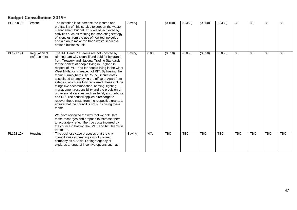| PL120a 19+ | Waste                       | The intention is to increase the income and<br>profitability of this service to support the waste<br>management budget. This will be achieved by<br>activities such as refining the marketing strategy,<br>efficiencies from the use of new technologies<br>and a plan to make the trade waste service a<br>defined business unit.                                                                                                                                                                                                                                                                                                                                                                                                                                                                                                                                                                                                                                                                         | Saving |       | (0.150)    | (0.350)    | (0.350)    | (0.350)    | 3.0        | 3.0        | 3.0        | $\overline{3.0}$ |
|------------|-----------------------------|------------------------------------------------------------------------------------------------------------------------------------------------------------------------------------------------------------------------------------------------------------------------------------------------------------------------------------------------------------------------------------------------------------------------------------------------------------------------------------------------------------------------------------------------------------------------------------------------------------------------------------------------------------------------------------------------------------------------------------------------------------------------------------------------------------------------------------------------------------------------------------------------------------------------------------------------------------------------------------------------------------|--------|-------|------------|------------|------------|------------|------------|------------|------------|------------------|
| PL121 19+  | Regulation &<br>Enforcement | The IMLT and RIT teams are both hosted by<br>Birmingham City Council and paid for by grants<br>from Treasury and National Trading Standards<br>for the benefit of people living in England in<br>respect of IMLT and for people living in the wider<br>West Midlands in respect of RIT. By hosting the<br>teams Birmingham City Council incurs costs<br>associated to employing the officers. Apart from<br>salaries, which are fully recovered, these include<br>things like accommodation, heating, lighting,<br>management responsibility and the provision of<br>professional services such as legal, accountancy<br>and HR. The council applies a recharge to<br>recover these costs from the respective grants to<br>ensure that the council is not subsidising these<br>teams.<br>We have reviewed the way that we calculate<br>these recharges and propose to increase them<br>to accurately reflect the true costs incurred by<br>the council in hosting the IMLT and RIT teams in<br>the future. | Saving | 0.000 | (0.050)    | (0.050)    | (0.050)    | (0.050)    | 0.0        | 0.0        | 0.0        | 0.0              |
| PL122 19+  | Housing                     | This business case proposes that the city<br>council looks at creating a wholly owned<br>company as a Social Lettings Agency or<br>explores a range of incentive options such as:                                                                                                                                                                                                                                                                                                                                                                                                                                                                                                                                                                                                                                                                                                                                                                                                                          | Saving | N/A   | <b>TBC</b> | <b>TBC</b> | <b>TBC</b> | <b>TBC</b> | <b>TBC</b> | <b>TBC</b> | <b>TBC</b> | <b>TBC</b>       |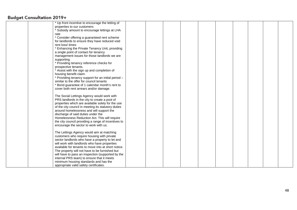| * Up front incentive to encourage the letting of    |  |  |  |  |  |
|-----------------------------------------------------|--|--|--|--|--|
|                                                     |  |  |  |  |  |
| properties to our customers                         |  |  |  |  |  |
| * Subsidy amount to encourage lettings at LHA       |  |  |  |  |  |
| rate                                                |  |  |  |  |  |
| * Consider offering a guaranteed rent scheme        |  |  |  |  |  |
| for landlords to ensure they have reduced void      |  |  |  |  |  |
| rent loss/times                                     |  |  |  |  |  |
| * Enhancing the Private Tenancy Unit, providing     |  |  |  |  |  |
| a single point of contact for tenancy               |  |  |  |  |  |
| management issues for those landlords we are        |  |  |  |  |  |
| supporting.                                         |  |  |  |  |  |
| * Providing tenancy reference checks for            |  |  |  |  |  |
| prospective tenants.                                |  |  |  |  |  |
| * Assist with the sign up and completion of         |  |  |  |  |  |
|                                                     |  |  |  |  |  |
| housing benefit claim.                              |  |  |  |  |  |
| * Providing tenancy support for an initial period - |  |  |  |  |  |
| similar to the offer for council tenants            |  |  |  |  |  |
| * Bond guarantee of 1 calendar month's rent to      |  |  |  |  |  |
| cover both rent arrears and/or damage.              |  |  |  |  |  |
|                                                     |  |  |  |  |  |
| The Social Lettings Agency would work with          |  |  |  |  |  |
| PRS landlords in the city to create a pool of       |  |  |  |  |  |
| properties which are available solely for the use   |  |  |  |  |  |
| of the city council in meeting its statutory duties |  |  |  |  |  |
| around homelessness and will support the            |  |  |  |  |  |
| discharge of said duties under the                  |  |  |  |  |  |
| Homelessness Reduction Act. This will require       |  |  |  |  |  |
| the city council providing a range of incentives to |  |  |  |  |  |
| encourage the sector to work with us.               |  |  |  |  |  |
|                                                     |  |  |  |  |  |
| The Lettings Agency would aim at matching           |  |  |  |  |  |
| customers who require housing with private          |  |  |  |  |  |
| sector landlords who have a property to let and     |  |  |  |  |  |
| will work with landlords who have properties        |  |  |  |  |  |
| available for tenants to move into at short notice. |  |  |  |  |  |
| The property will not have to be furnished but      |  |  |  |  |  |
| will have to pass an inspection (supported by the   |  |  |  |  |  |
| internal PRS team) to ensure that it meets          |  |  |  |  |  |
| minimum housing standards and has the               |  |  |  |  |  |
| appropriate valid safety certificates.              |  |  |  |  |  |
|                                                     |  |  |  |  |  |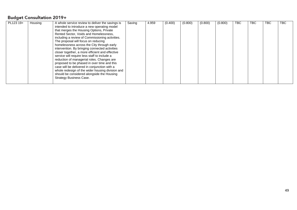| PL123 19+ | Housing | A whole service review to deliver the savings is | Saving | 4.959 | (0.400) | (0.800) | (0.800) | (0.800) | TBC. | TBC. | TBC | TBC. |
|-----------|---------|--------------------------------------------------|--------|-------|---------|---------|---------|---------|------|------|-----|------|
|           |         | intended to introduce a new operating model      |        |       |         |         |         |         |      |      |     |      |
|           |         | that merges the Housing Options, Private         |        |       |         |         |         |         |      |      |     |      |
|           |         | Rented Sector, Voids and Homelessness,           |        |       |         |         |         |         |      |      |     |      |
|           |         | including a review of Commissioning activities.  |        |       |         |         |         |         |      |      |     |      |
|           |         | The proposal will focus on reducing              |        |       |         |         |         |         |      |      |     |      |
|           |         | homelessness across the City through early       |        |       |         |         |         |         |      |      |     |      |
|           |         | intervention. By bringing connected activities   |        |       |         |         |         |         |      |      |     |      |
|           |         | closer together, a more efficient and effective  |        |       |         |         |         |         |      |      |     |      |
|           |         | service will require less staff to include a     |        |       |         |         |         |         |      |      |     |      |
|           |         | reduction of managerial roles. Changes are       |        |       |         |         |         |         |      |      |     |      |
|           |         | proposed to be phased in over time and this      |        |       |         |         |         |         |      |      |     |      |
|           |         | case will be delivered in conjunction with a     |        |       |         |         |         |         |      |      |     |      |
|           |         | whole redesign of the wider housing division and |        |       |         |         |         |         |      |      |     |      |
|           |         | should be considered alongside the Housing       |        |       |         |         |         |         |      |      |     |      |
|           |         | <b>Strategy Business Case.</b>                   |        |       |         |         |         |         |      |      |     |      |
|           |         |                                                  |        |       |         |         |         |         |      |      |     |      |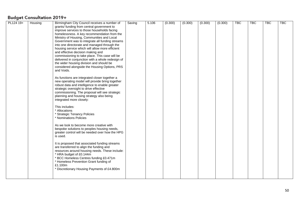| PL124 19+ | Housing | Birmingham City Council receives a number of                                                     | Saving | 5.106 | (0.300) | (0.300) | (0.300) | (0.300) | <b>TBC</b> | $\overline{\text{TBC}}$ | <b>TBC</b> | <b>TBC</b> |
|-----------|---------|--------------------------------------------------------------------------------------------------|--------|-------|---------|---------|---------|---------|------------|-------------------------|------------|------------|
|           |         | grants/ funding from central government to                                                       |        |       |         |         |         |         |            |                         |            |            |
|           |         | improve services to those households facing                                                      |        |       |         |         |         |         |            |                         |            |            |
|           |         | homelessness. A key recommendation from the                                                      |        |       |         |         |         |         |            |                         |            |            |
|           |         | Ministry of Housing, Communities and Local                                                       |        |       |         |         |         |         |            |                         |            |            |
|           |         | Government was to integrate all funding streams                                                  |        |       |         |         |         |         |            |                         |            |            |
|           |         | into one directorate and managed through the                                                     |        |       |         |         |         |         |            |                         |            |            |
|           |         | housing service which will allow more efficient                                                  |        |       |         |         |         |         |            |                         |            |            |
|           |         | and effective decision making and                                                                |        |       |         |         |         |         |            |                         |            |            |
|           |         | commissioning to take place. This case will be                                                   |        |       |         |         |         |         |            |                         |            |            |
|           |         | delivered in conjunction with a whole redesign of                                                |        |       |         |         |         |         |            |                         |            |            |
|           |         | the wider housing division and should be                                                         |        |       |         |         |         |         |            |                         |            |            |
|           |         | considered alongside the Housing Options, PRS                                                    |        |       |         |         |         |         |            |                         |            |            |
|           |         | and Voids.                                                                                       |        |       |         |         |         |         |            |                         |            |            |
|           |         |                                                                                                  |        |       |         |         |         |         |            |                         |            |            |
|           |         | As functions are integrated closer together a<br>new operating model will provide bring together |        |       |         |         |         |         |            |                         |            |            |
|           |         | robust data and intelligence to enable greater                                                   |        |       |         |         |         |         |            |                         |            |            |
|           |         | strategic oversight to drive effective                                                           |        |       |         |         |         |         |            |                         |            |            |
|           |         | commissioning. The proposal will see strategic                                                   |        |       |         |         |         |         |            |                         |            |            |
|           |         | planning and housing strategy also being                                                         |        |       |         |         |         |         |            |                         |            |            |
|           |         | integrated more closely:                                                                         |        |       |         |         |         |         |            |                         |            |            |
|           |         |                                                                                                  |        |       |         |         |         |         |            |                         |            |            |
|           |         | This includes:                                                                                   |        |       |         |         |         |         |            |                         |            |            |
|           |         | * Allocations                                                                                    |        |       |         |         |         |         |            |                         |            |            |
|           |         | * Strategic Tenancy Policies                                                                     |        |       |         |         |         |         |            |                         |            |            |
|           |         | * Nominations Policies                                                                           |        |       |         |         |         |         |            |                         |            |            |
|           |         |                                                                                                  |        |       |         |         |         |         |            |                         |            |            |
|           |         | As we look to become more creative with                                                          |        |       |         |         |         |         |            |                         |            |            |
|           |         | bespoke solutions to peoples housing needs,                                                      |        |       |         |         |         |         |            |                         |            |            |
|           |         | greater control will be needed over how the HPG                                                  |        |       |         |         |         |         |            |                         |            |            |
|           |         | is used.                                                                                         |        |       |         |         |         |         |            |                         |            |            |
|           |         |                                                                                                  |        |       |         |         |         |         |            |                         |            |            |
|           |         | It is proposed that associated funding streams<br>are transferred to align the funding and       |        |       |         |         |         |         |            |                         |            |            |
|           |         | resources around housing needs. These include:                                                   |        |       |         |         |         |         |            |                         |            |            |
|           |         | * HRA budget of £0.144m                                                                          |        |       |         |         |         |         |            |                         |            |            |
|           |         | BCC Homeless Centres funding £0.471m                                                             |        |       |         |         |         |         |            |                         |            |            |
|           |         | Homeless Prevention Grant funding of                                                             |        |       |         |         |         |         |            |                         |            |            |
|           |         | £1.100m                                                                                          |        |       |         |         |         |         |            |                         |            |            |
|           |         | * Discretionary Housing Payments of £4.800m                                                      |        |       |         |         |         |         |            |                         |            |            |
|           |         |                                                                                                  |        |       |         |         |         |         |            |                         |            |            |
|           |         |                                                                                                  |        |       |         |         |         |         |            |                         |            |            |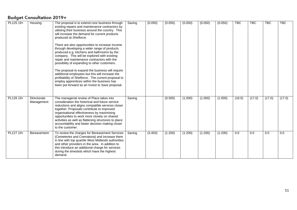| PL125 19+ | Housing                   | The proposal is to extend core business through<br>existing repairs and maintenance contractors by<br>utilising their business around the country. This<br>will increase the demand for current products<br>produced at Shelforce.<br>There are also opportunities to increase income<br>through developing a wider range of products<br>produced e.g. kitchens and bathrooms by the<br>company. This will be explored with existing<br>repair and maintenance contractors with the<br>possibility of expanding to other customers.<br>The proposal to expand the business will require<br>additional employees but this will increase the<br>profitability of Shelforce. The current proposal to<br>employ apprentices within the business has<br>been put forward as an Invest to Save proposal. | Saving | (0.093) | (0.050) | (0.050) | (0.050) | (0.050) | <b>TBC</b> | <b>TBC</b> | <b>TBC</b> | <b>TBC</b> |
|-----------|---------------------------|----------------------------------------------------------------------------------------------------------------------------------------------------------------------------------------------------------------------------------------------------------------------------------------------------------------------------------------------------------------------------------------------------------------------------------------------------------------------------------------------------------------------------------------------------------------------------------------------------------------------------------------------------------------------------------------------------------------------------------------------------------------------------------------------------|--------|---------|---------|---------|---------|---------|------------|------------|------------|------------|
| PL126 19+ | Directorate<br>Management | The managerial review of Place takes into<br>consideration the historical and future service<br>reductions and aligns compatible services closer<br>together. Proposals contribute to improved<br>organisational effectiveness by maximising<br>opportunities to work more closely on shared<br>activities as well as flattening structures to place<br>accountability and faster decision making closer<br>to the customer.                                                                                                                                                                                                                                                                                                                                                                       | Saving |         | (0.500) | (1.000) | (1.000) | (1.000) | (16.0)     | (17.0)     | (17.0)     | (17.0)     |
| PL127 19+ | Bereavement               | To review the charges for Bereavement Services<br>(Cemeteries and Crematoria) and increase them<br>in line with top quartile West Midlands authorities<br>and other providers in the area. In addition to<br>this introduce an additional charge for services<br>during the timeslots which have the highest<br>demand.                                                                                                                                                                                                                                                                                                                                                                                                                                                                            | Saving | (3.403) | (1.200) | (1.200) | (1.200) | (1.200) | 0.0        | 0.0        | 0.0        | 0.0        |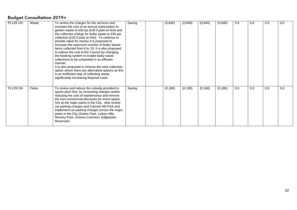| PL128 19+ | Waste | To review the charges for the services and<br>increase the cost of an annual subscription to<br>garden waste to £50 pa (£48 if paid on line) and<br>the collection charge for bulky waste to £35 per<br>collection (£33 if paid on line). To continue to<br>provide value for money it is proposed to<br>increase the maximum number of Bulky Waste<br>items collected from 6 to 10. It is also proposed<br>to reduce the cost to the Council by changing<br>the booking system to enable bulky waste<br>collections to be scheduled in an efficient<br>manner.<br>It is also proposed to remove the sack collection<br>option where there are alternative options as this<br>is an inefficient way of collecting waste,<br>significantly increasing disposal costs. | Saving | (0.840) | (0.840) | (0.840) | (0.840) | 0.0 | 0.0 | 0.0 | 0.0 |
|-----------|-------|----------------------------------------------------------------------------------------------------------------------------------------------------------------------------------------------------------------------------------------------------------------------------------------------------------------------------------------------------------------------------------------------------------------------------------------------------------------------------------------------------------------------------------------------------------------------------------------------------------------------------------------------------------------------------------------------------------------------------------------------------------------------|--------|---------|---------|---------|---------|-----|-----|-----|-----|
| PL129 19+ | Parks | To review and reduce the subsidy provided to<br>sports pitch hire, by increasing charges and/or<br>reducing the cost of maintenance and remove<br>the non-commercial discounts for event space<br>hire at the major parks in the City. Also review<br>car parking charges and Cannon Hill Park and<br>implement car parking charges across the major<br>parks in the City (Sutton Park, Lickey Hills,<br>Rectory Park, Victoria Common, Edgbaston<br>Reservoir).                                                                                                                                                                                                                                                                                                     | Saving | (0.180) | (0.180) | (0.180) | (0.180) | 0.0 | 0.0 | 0.0 | 0.0 |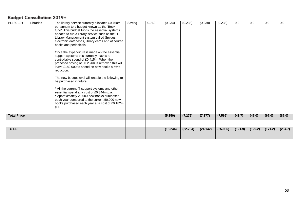| PL130 19+          | Libraries | The library service currently allocates £0.760m<br>per annum to a budget known as the 'Book<br>fund'. This budget funds the essential systems<br>needed to run a library service such as the IT<br>Library Management system called Spydus,<br>electronic databases, library cards and of course<br>books and periodicals.<br>Once the expenditure is made on the essential<br>support systems this currently leaves a<br>controllable spend of £0.415m. When the<br>proposed saving of £0.234m is removed this will<br>leave £182,000 to spend on new books a 56%<br>reduction.<br>The new budget level will enable the following to<br>be purchased in future:<br>* All the current IT support systems and other<br>essential spend at a cost of £0.344m p.a.<br>* Approximately 25,000 new books purchased<br>each year compared to the current 50,000 new<br>books purchased each year at a cost of £0.182m<br>p.a. | Saving | 0.760 | (0.234)  | (0.238)  | (0.238)  | (0.238)  | 0.0     | 0.0     | 0.0     | 0.0     |
|--------------------|-----------|-------------------------------------------------------------------------------------------------------------------------------------------------------------------------------------------------------------------------------------------------------------------------------------------------------------------------------------------------------------------------------------------------------------------------------------------------------------------------------------------------------------------------------------------------------------------------------------------------------------------------------------------------------------------------------------------------------------------------------------------------------------------------------------------------------------------------------------------------------------------------------------------------------------------------|--------|-------|----------|----------|----------|----------|---------|---------|---------|---------|
|                    |           |                                                                                                                                                                                                                                                                                                                                                                                                                                                                                                                                                                                                                                                                                                                                                                                                                                                                                                                         |        |       |          |          |          |          |         |         |         |         |
| <b>Total Place</b> |           |                                                                                                                                                                                                                                                                                                                                                                                                                                                                                                                                                                                                                                                                                                                                                                                                                                                                                                                         |        |       | (5.859)  | (7.276)  | (7.377)  | (7.565)  | (43.7)  | (47.0)  | (67.0)  | (87.0)  |
| <b>TOTAL</b>       |           |                                                                                                                                                                                                                                                                                                                                                                                                                                                                                                                                                                                                                                                                                                                                                                                                                                                                                                                         |        |       | (18.244) | (22.784) | (24.142) | (25.986) | (121.9) | (129.2) | (171.2) | (204.7) |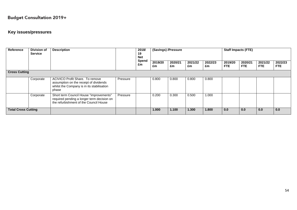#### **Key issues/pressures**

| Reference                  | <b>Division of</b><br><b>Service</b> | <b>Description</b>                                                                                                               |          | 2018/<br>19<br><b>Net</b><br><b>Spend</b><br>£m | (Savings) /Pressure |               |               |               | <b>Staff Impacts (FTE)</b> |                       |                 |                       |  |
|----------------------------|--------------------------------------|----------------------------------------------------------------------------------------------------------------------------------|----------|-------------------------------------------------|---------------------|---------------|---------------|---------------|----------------------------|-----------------------|-----------------|-----------------------|--|
|                            |                                      |                                                                                                                                  |          |                                                 | 2019/20<br>£m       | 2020/21<br>£m | 2021/22<br>£m | 2022/23<br>£m | 2019/20<br><b>FTE</b>      | 2020/21<br><b>FTE</b> | 2021/22<br>FTE. | 2022/23<br><b>FTE</b> |  |
| <b>Cross Cutting</b>       |                                      |                                                                                                                                  |          |                                                 |                     |               |               |               |                            |                       |                 |                       |  |
|                            | Corporate                            | ACIVICO Profit Share. To remove<br>assumption on the receipt of dividends<br>whilst the Company is in its stabilisation<br>phase | Pressure |                                                 | 0.800               | 0.800         | 0.800         | 0.800         |                            |                       |                 |                       |  |
|                            | Corporate                            | Short term Council House "improvements"<br>required pending a longer term decision on<br>the refurbishment of the Council House  | Pressure |                                                 | 0.200               | 0.300         | 0.500         | 1.000         |                            |                       |                 |                       |  |
| <b>Total Cross Cutting</b> |                                      |                                                                                                                                  |          |                                                 | 1.000               | 1.100         | 1.300         | 1.800         | 0.0                        | 0.0                   | 0.0             | 0.0                   |  |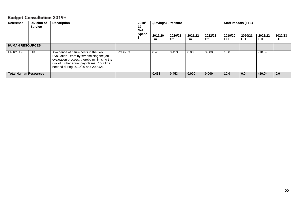| <b>Reference</b>             | <b>Division of</b><br><b>Service</b> | <b>Description</b>                                                                                                                                                                                               |          | 2018/<br>19<br><b>Net</b><br><b>Spend</b><br>£m | 2019/20<br>£m | (Savings) /Pressure<br>2020/21<br>£m | 2021/22<br>£m | 2022/23<br>£m | <b>Staff Impacts (FTE)</b><br>2019/20<br><b>FTE</b> | 2020/21<br>FTE. | 2021/22<br>FTE. | 2022/23<br><b>FTE</b> |
|------------------------------|--------------------------------------|------------------------------------------------------------------------------------------------------------------------------------------------------------------------------------------------------------------|----------|-------------------------------------------------|---------------|--------------------------------------|---------------|---------------|-----------------------------------------------------|-----------------|-----------------|-----------------------|
| <b>HUMAN RESOURCES</b>       |                                      |                                                                                                                                                                                                                  |          |                                                 |               |                                      |               |               |                                                     |                 |                 |                       |
| HR101 19+                    | <b>HR</b>                            | Avoidance of future costs in the Job<br>Evaluation Team by streamlining the job<br>evaluation process, thereby minimising the<br>risk of further equal pay claims. 10 FTEs<br>needed during 2019/20 and 2020/21. | Pressure |                                                 | 0.453         | 0.453                                | 0.000         | 0.000         | 10.0                                                |                 | (10.0)          |                       |
| <b>Total Human Resources</b> |                                      |                                                                                                                                                                                                                  |          |                                                 | 0.453         | 0.453                                | 0.000         | 0.000         | 10.0                                                | 0.0             | (10.0)          | 0.0                   |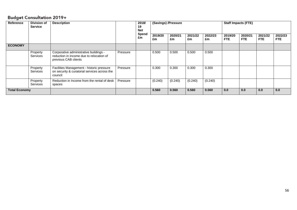| Reference            | <b>Division of</b><br><b>Description</b><br><b>Service</b> |                                                                                                            |          |             |               | (Savings) /Pressure |               |               | <b>Staff Impacts (FTE)</b> |                       |                       |                       |  |
|----------------------|------------------------------------------------------------|------------------------------------------------------------------------------------------------------------|----------|-------------|---------------|---------------------|---------------|---------------|----------------------------|-----------------------|-----------------------|-----------------------|--|
|                      |                                                            |                                                                                                            |          | Spend<br>£m | 2019/20<br>£m | 2020/21<br>£m       | 2021/22<br>£m | 2022/23<br>£m | 2019/20<br>FTE.            | 2020/21<br><b>FTE</b> | 2021/22<br><b>FTE</b> | 2022/23<br><b>FTE</b> |  |
| <b>ECONOMY</b>       |                                                            |                                                                                                            |          |             |               |                     |               |               |                            |                       |                       |                       |  |
|                      | Property<br>Services                                       | Corporative administrative buildings -<br>reduction in income due to relocation of<br>previous CAB clients | Pressure |             | 0.500         | 0.500               | 0.500         | 0.500         |                            |                       |                       |                       |  |
|                      | Property<br>Services                                       | Facilities Management - historic pressure<br>on security & curatorial services across the<br>council       | Pressure |             | 0.300         | 0.300               | 0.300         | 0.300         |                            |                       |                       |                       |  |
|                      | Property<br>Services                                       | Reduction in Income from the rental of desk<br>spaces                                                      | Pressure |             | (0.240)       | (0.240)             | (0.240)       | (0.240)       |                            |                       |                       |                       |  |
| <b>Total Economy</b> |                                                            |                                                                                                            |          |             | 0.560         | 0.560               | 0.560         | 0.560         | 0.0                        | 0.0                   | 0.0                   | 0.0                   |  |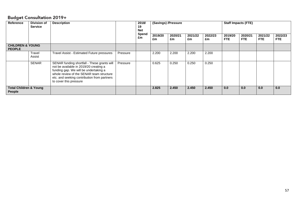| <b>Reference</b>                             | <b>Description</b><br><b>Division of</b><br><b>Service</b> |                                                                                                                                                                                                                                                     |          | 2018/<br>19<br><b>Net</b> |               | (Savings) /Pressure |               |               | <b>Staff Impacts (FTE)</b> |                 |                       |                       |  |
|----------------------------------------------|------------------------------------------------------------|-----------------------------------------------------------------------------------------------------------------------------------------------------------------------------------------------------------------------------------------------------|----------|---------------------------|---------------|---------------------|---------------|---------------|----------------------------|-----------------|-----------------------|-----------------------|--|
|                                              |                                                            |                                                                                                                                                                                                                                                     |          | Spend<br>£m               | 2019/20<br>£m | 2020/21<br>£m       | 2021/22<br>£m | 2022/23<br>£m | 2019/20<br><b>FTE</b>      | 2020/21<br>FTE. | 2021/22<br><b>FTE</b> | 2022/23<br><b>FTE</b> |  |
| <b>CHILDREN &amp; YOUNG</b><br><b>PEOPLE</b> |                                                            |                                                                                                                                                                                                                                                     |          |                           |               |                     |               |               |                            |                 |                       |                       |  |
|                                              | Travel<br>Assist                                           | Travel Assist - Estimated Future pressures                                                                                                                                                                                                          | Pressure |                           | 2.200         | 2.200               | 2.200         | 2.200         |                            |                 |                       |                       |  |
|                                              | SENAR                                                      | SENAR funding shortfall - These grants will<br>not be available in 2019/20 creating a<br>funding gap. We will be undertaking a<br>whole review of the SENAR team structure<br>etc. and seeking contribution from partners<br>to cover this pressure | Pressure |                           | 0.625         | 0.250               | 0.250         | 0.250         |                            |                 |                       |                       |  |
| <b>Total Children &amp; Young</b><br>People  |                                                            |                                                                                                                                                                                                                                                     |          |                           | 2.825         | 2.450               | 2.450         | 2.450         | 0.0                        | 0.0             | 0.0                   | 0.0                   |  |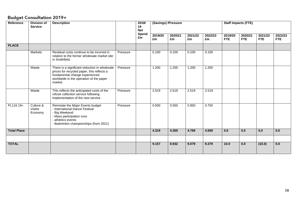| Reference          | <b>Division of</b><br><b>Service</b> | <b>Description</b>                                                                                                                                                                  |          | 2018/<br>19<br><b>Net</b><br>Spend<br>£m |               | (Savings) /Pressure |               |               | <b>Staff Impacts (FTE)</b> |                       |                       |                       |  |
|--------------------|--------------------------------------|-------------------------------------------------------------------------------------------------------------------------------------------------------------------------------------|----------|------------------------------------------|---------------|---------------------|---------------|---------------|----------------------------|-----------------------|-----------------------|-----------------------|--|
|                    |                                      |                                                                                                                                                                                     |          |                                          | 2019/20<br>£m | 2020/21<br>£m       | 2021/22<br>£m | 2022/23<br>£m | 2019/20<br><b>FTE</b>      | 2020/21<br><b>FTE</b> | 2021/22<br><b>FTE</b> | 2022/23<br><b>FTE</b> |  |
| <b>PLACE</b>       |                                      |                                                                                                                                                                                     |          |                                          |               |                     |               |               |                            |                       |                       |                       |  |
|                    | Markets                              | Residual costs continue to be incurred in<br>relation to the former wholesale market site<br>in Smithfield.                                                                         | Pressure |                                          | 0.100         | 0.100               | 0.100         | 0.100         |                            |                       |                       |                       |  |
|                    | Waste                                | There is a significant reduction in wholesale<br>prices for recycled paper, this reflects a<br>fundamental change experienced<br>worldwide in the operation of the paper<br>market. | Pressure |                                          | 1.200         | 1.200               | 1.200         | 1.200         |                            |                       |                       |                       |  |
|                    | Waste                                | This reflects the anticipated costs of the<br>refuse collection service following<br>implementation of the new service                                                              | Pressure |                                          | 2.519         | 2.519               | 2.519         | 2.519         |                            |                       |                       |                       |  |
| PL116 19+          | Culture &<br>Visitor<br>Economy      | Reinstate the Major Events budget<br>- International Dance Festival<br>- Big Weekend<br>- Mass participation runs<br>- athletics events<br>- Badminton championships (from 2021)    | Pressure |                                          | 0.500         | 0.550               | 0.950         | 0.750         |                            |                       |                       |                       |  |
| <b>Total Place</b> |                                      |                                                                                                                                                                                     |          |                                          | 4.319         | 4.369               | 4.769         | 4.569         | 0.0                        | 0.0                   | 0.0                   | 0.0                   |  |
|                    |                                      |                                                                                                                                                                                     |          |                                          |               |                     |               |               |                            |                       |                       |                       |  |
| <b>TOTAL</b>       |                                      |                                                                                                                                                                                     |          |                                          | 9.157         | 8.932               | 9.079         | 9.379         | 10.0                       | 0.0                   | (10.0)                | 0.0                   |  |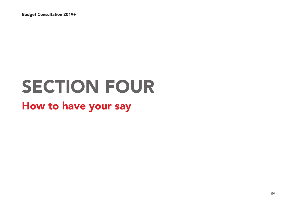# SECTION FOUR

# How to have your say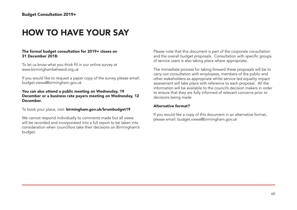## HOW TO HAVE YOUR SAY

#### The formal budget consultation for 2019+ closes on 31 December 2018:

To let us know what you think fill in our online survey at www.birminghambeheard.org.uk

If you would like to request a paper copy of the survey please email: budget.views@birmingham.gov.uk

#### You can also attend a public meeting on Wednesday, 19 December or a business rate payers meeting on Wednesday, 12 December.

To book your place, visit: birmingham.gov.uk/brumbudget19

We cannot respond individually to comments made but all views will be recorded and incorporated into a full report to be taken into consideration when councillors take their decisions on Birmingham's budget.

Please note that this document is part of the corporate consultation and the overall budget proposals. Consultation with specific groups of service users is also taking place where appropriate.

The immediate process for taking forward these proposals will be to carry out consultation with employees, members of the public and other stakeholders as appropriate whilst service led equality impact assessment will take place with reference to each proposal. All the information will be available to the council's decision makers in order to ensure that they are fully informed of relevant concerns prior to decisions being made

#### Alternative format?

If you would like a copy of this document in an alternative format, please email: budget.views@birmingham.gov.uk